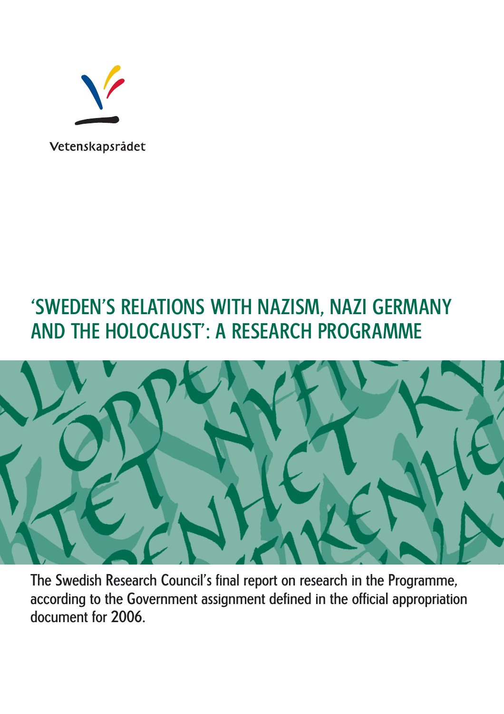

# 'SWEDEN'S RELATIONS WITH NAZISM, NAZI GERMANY AND THE HOLOCAUST': A RESEARCH PROGRAMME



The Swedish Research Council's final report on research in the Programme, according to the Government assignment defined in the official appropriation document for 2006.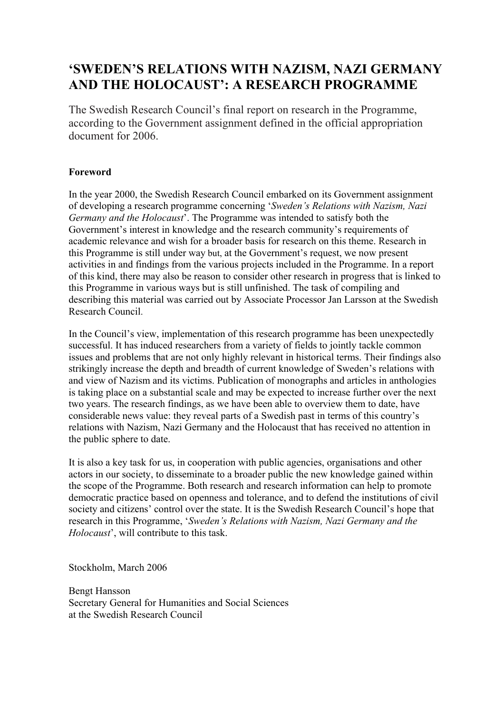# **'SWEDEN'S RELATIONS WITH NAZISM, NAZI GERMANY AND THE HOLOCAUST': A RESEARCH PROGRAMME**

The Swedish Research Council's final report on research in the Programme, according to the Government assignment defined in the official appropriation document for 2006.

### **Foreword**

In the year 2000, the Swedish Research Council embarked on its Government assignment of developing a research programme concerning '*Sweden's Relations with Nazism, Nazi Germany and the Holocaust*'. The Programme was intended to satisfy both the Government's interest in knowledge and the research community's requirements of academic relevance and wish for a broader basis for research on this theme. Research in this Programme is still under way but, at the Government's request, we now present activities in and findings from the various projects included in the Programme. In a report of this kind, there may also be reason to consider other research in progress that is linked to this Programme in various ways but is still unfinished. The task of compiling and describing this material was carried out by Associate Processor Jan Larsson at the Swedish Research Council.

In the Council's view, implementation of this research programme has been unexpectedly successful. It has induced researchers from a variety of fields to jointly tackle common issues and problems that are not only highly relevant in historical terms. Their findings also strikingly increase the depth and breadth of current knowledge of Sweden's relations with and view of Nazism and its victims. Publication of monographs and articles in anthologies is taking place on a substantial scale and may be expected to increase further over the next two years. The research findings, as we have been able to overview them to date, have considerable news value: they reveal parts of a Swedish past in terms of this country's relations with Nazism, Nazi Germany and the Holocaust that has received no attention in the public sphere to date.

It is also a key task for us, in cooperation with public agencies, organisations and other actors in our society, to disseminate to a broader public the new knowledge gained within the scope of the Programme. Both research and research information can help to promote democratic practice based on openness and tolerance, and to defend the institutions of civil society and citizens' control over the state. It is the Swedish Research Council's hope that research in this Programme, '*Sweden's Relations with Nazism, Nazi Germany and the Holocaust*', will contribute to this task.

Stockholm, March 2006

Bengt Hansson Secretary General for Humanities and Social Sciences at the Swedish Research Council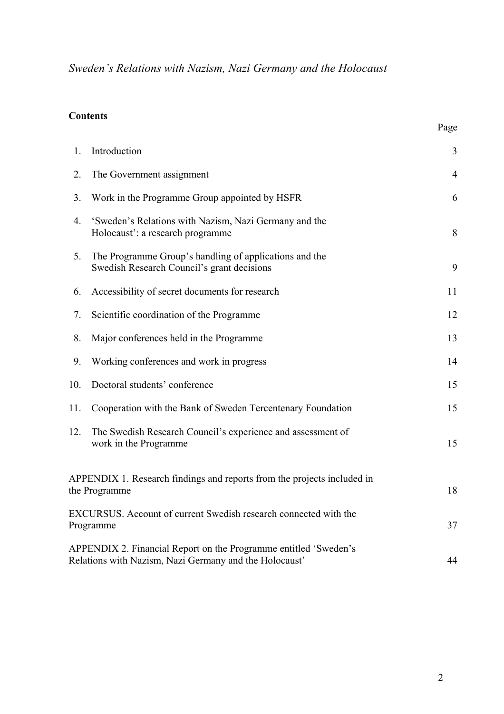### **Contents**

|     |                                                                                                                            | Page           |
|-----|----------------------------------------------------------------------------------------------------------------------------|----------------|
| 1.  | Introduction                                                                                                               | 3              |
| 2.  | The Government assignment                                                                                                  | $\overline{4}$ |
| 3.  | Work in the Programme Group appointed by HSFR                                                                              | 6              |
| 4.  | 'Sweden's Relations with Nazism, Nazi Germany and the<br>Holocaust': a research programme                                  | 8              |
| 5.  | The Programme Group's handling of applications and the<br>Swedish Research Council's grant decisions                       | 9              |
| 6.  | Accessibility of secret documents for research                                                                             | 11             |
| 7.  | Scientific coordination of the Programme                                                                                   | 12             |
| 8.  | Major conferences held in the Programme                                                                                    | 13             |
| 9.  | Working conferences and work in progress                                                                                   | 14             |
| 10. | Doctoral students' conference                                                                                              | 15             |
| 11. | Cooperation with the Bank of Sweden Tercentenary Foundation                                                                | 15             |
| 12. | The Swedish Research Council's experience and assessment of<br>work in the Programme                                       | 15             |
|     | APPENDIX 1. Research findings and reports from the projects included in<br>the Programme                                   | 18             |
|     | EXCURSUS. Account of current Swedish research connected with the<br>Programme                                              | 37             |
|     | APPENDIX 2. Financial Report on the Programme entitled 'Sweden's<br>Relations with Nazism, Nazi Germany and the Holocaust' | 44             |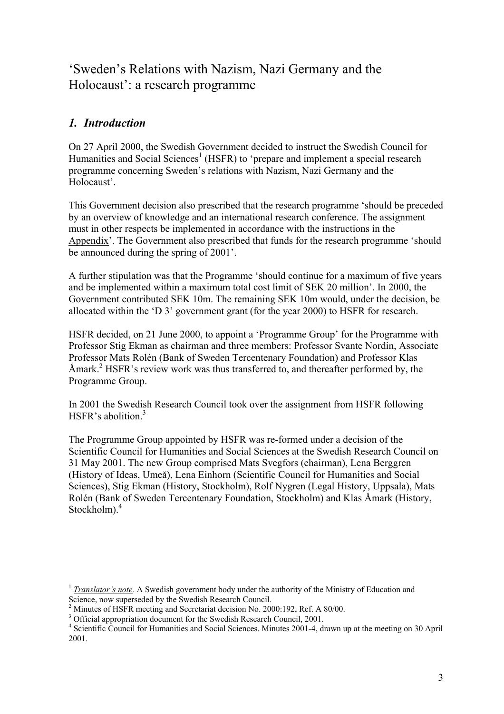# 'Sweden's Relations with Nazism, Nazi Germany and the Holocaust': a research programme

### *1. Introduction*

On 27 April 2000, the Swedish Government decided to instruct the Swedish Council for Humanities and Social Sciences<sup>1</sup> (HSFR) to 'prepare and implement a special research programme concerning Sweden's relations with Nazism, Nazi Germany and the Holocaust'.

This Government decision also prescribed that the research programme 'should be preceded by an overview of knowledge and an international research conference. The assignment must in other respects be implemented in accordance with the instructions in the Appendix'. The Government also prescribed that funds for the research programme 'should be announced during the spring of 2001'.

A further stipulation was that the Programme 'should continue for a maximum of five years and be implemented within a maximum total cost limit of SEK 20 million'. In 2000, the Government contributed SEK 10m. The remaining SEK 10m would, under the decision, be allocated within the 'D 3' government grant (for the year 2000) to HSFR for research.

HSFR decided, on 21 June 2000, to appoint a 'Programme Group' for the Programme with Professor Stig Ekman as chairman and three members: Professor Svante Nordin, Associate Professor Mats Rolén (Bank of Sweden Tercentenary Foundation) and Professor Klas Åmark.<sup>2</sup> HSFR's review work was thus transferred to, and thereafter performed by, the Programme Group.

In 2001 the Swedish Research Council took over the assignment from HSFR following HSFR's abolition  $3$ 

The Programme Group appointed by HSFR was re-formed under a decision of the Scientific Council for Humanities and Social Sciences at the Swedish Research Council on 31 May 2001. The new Group comprised Mats Svegfors (chairman), Lena Berggren (History of Ideas, Umeå), Lena Einhorn (Scientific Council for Humanities and Social Sciences), Stig Ekman (History, Stockholm), Rolf Nygren (Legal History, Uppsala), Mats Rolén (Bank of Sweden Tercentenary Foundation, Stockholm) and Klas Åmark (History, Stockholm).<sup>4</sup>

 $\overline{a}$ <sup>1</sup> *Translator's note.* A Swedish government body under the authority of the Ministry of Education and Science, now superseded by the Swedish Research Council.

<sup>&</sup>lt;sup>2</sup> Minutes of HSFR meeting and Secretariat decision No. 2000:192, Ref. A 80/00.

<sup>&</sup>lt;sup>3</sup> Official appropriation document for the Swedish Research Council, 2001.<br><sup>4</sup> Scientific Council for Humanities and Social Sciences, Minutes 2001. 4, di

<sup>&</sup>lt;sup>4</sup> Scientific Council for Humanities and Social Sciences. Minutes 2001-4, drawn up at the meeting on 30 April 2001.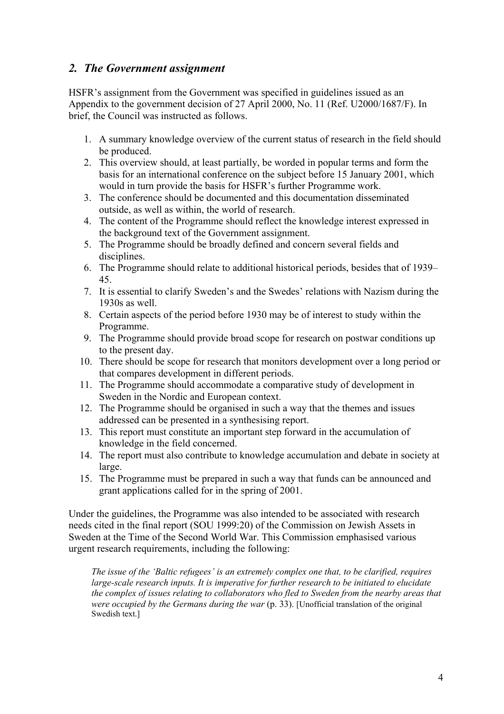### *2. The Government assignment*

HSFR's assignment from the Government was specified in guidelines issued as an Appendix to the government decision of 27 April 2000, No. 11 (Ref. U2000/1687/F). In brief, the Council was instructed as follows.

- 1. A summary knowledge overview of the current status of research in the field should be produced.
- 2. This overview should, at least partially, be worded in popular terms and form the basis for an international conference on the subject before 15 January 2001, which would in turn provide the basis for HSFR's further Programme work.
- 3. The conference should be documented and this documentation disseminated outside, as well as within, the world of research.
- 4. The content of the Programme should reflect the knowledge interest expressed in the background text of the Government assignment.
- 5. The Programme should be broadly defined and concern several fields and disciplines.
- 6. The Programme should relate to additional historical periods, besides that of 1939– 45.
- 7. It is essential to clarify Sweden's and the Swedes' relations with Nazism during the 1930s as well.
- 8. Certain aspects of the period before 1930 may be of interest to study within the Programme.
- 9. The Programme should provide broad scope for research on postwar conditions up to the present day.
- 10. There should be scope for research that monitors development over a long period or that compares development in different periods.
- 11. The Programme should accommodate a comparative study of development in Sweden in the Nordic and European context.
- 12. The Programme should be organised in such a way that the themes and issues addressed can be presented in a synthesising report.
- 13. This report must constitute an important step forward in the accumulation of knowledge in the field concerned.
- 14. The report must also contribute to knowledge accumulation and debate in society at large.
- 15. The Programme must be prepared in such a way that funds can be announced and grant applications called for in the spring of 2001.

Under the guidelines, the Programme was also intended to be associated with research needs cited in the final report (SOU 1999:20) of the Commission on Jewish Assets in Sweden at the Time of the Second World War. This Commission emphasised various urgent research requirements, including the following:

*The issue of the 'Baltic refugees' is an extremely complex one that, to be clarified, requires large-scale research inputs. It is imperative for further research to be initiated to elucidate the complex of issues relating to collaborators who fled to Sweden from the nearby areas that were occupied by the Germans during the war* (p. 33). [Unofficial translation of the original Swedish text.]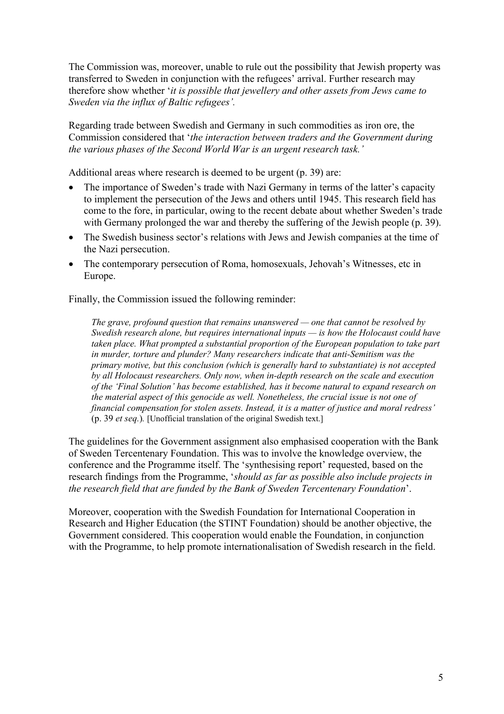The Commission was, moreover, unable to rule out the possibility that Jewish property was transferred to Sweden in conjunction with the refugees' arrival. Further research may therefore show whether '*it is possible that jewellery and other assets from Jews came to Sweden via the influx of Baltic refugees'.* 

Regarding trade between Swedish and Germany in such commodities as iron ore, the Commission considered that '*the interaction between traders and the Government during the various phases of the Second World War is an urgent research task.'*

Additional areas where research is deemed to be urgent (p. 39) are:

- The importance of Sweden's trade with Nazi Germany in terms of the latter's capacity to implement the persecution of the Jews and others until 1945. This research field has come to the fore, in particular, owing to the recent debate about whether Sweden's trade with Germany prolonged the war and thereby the suffering of the Jewish people (p. 39).
- The Swedish business sector's relations with Jews and Jewish companies at the time of the Nazi persecution.
- The contemporary persecution of Roma, homosexuals, Jehovah's Witnesses, etc in Europe.

Finally, the Commission issued the following reminder:

*The grave, profound question that remains unanswered — one that cannot be resolved by Swedish research alone, but requires international inputs — is how the Holocaust could have taken place. What prompted a substantial proportion of the European population to take part in murder, torture and plunder? Many researchers indicate that anti-Semitism was the primary motive, but this conclusion (which is generally hard to substantiate) is not accepted by all Holocaust researchers. Only now, when in-depth research on the scale and execution of the 'Final Solution' has become established, has it become natural to expand research on the material aspect of this genocide as well. Nonetheless, the crucial issue is not one of financial compensation for stolen assets. Instead, it is a matter of justice and moral redress'*  (p. 39 *et seq.*)*.* [Unofficial translation of the original Swedish text.]

The guidelines for the Government assignment also emphasised cooperation with the Bank of Sweden Tercentenary Foundation. This was to involve the knowledge overview, the conference and the Programme itself. The 'synthesising report' requested, based on the research findings from the Programme, '*should as far as possible also include projects in the research field that are funded by the Bank of Sweden Tercentenary Foundation*'.

Moreover, cooperation with the Swedish Foundation for International Cooperation in Research and Higher Education (the STINT Foundation) should be another objective, the Government considered. This cooperation would enable the Foundation, in conjunction with the Programme, to help promote internationalisation of Swedish research in the field.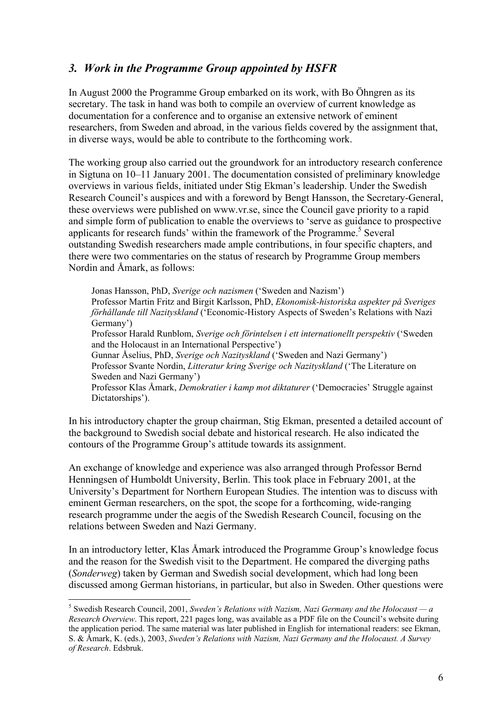### *3. Work in the Programme Group appointed by HSFR*

In August 2000 the Programme Group embarked on its work, with Bo Öhngren as its secretary. The task in hand was both to compile an overview of current knowledge as documentation for a conference and to organise an extensive network of eminent researchers, from Sweden and abroad, in the various fields covered by the assignment that, in diverse ways, would be able to contribute to the forthcoming work.

The working group also carried out the groundwork for an introductory research conference in Sigtuna on 10–11 January 2001. The documentation consisted of preliminary knowledge overviews in various fields, initiated under Stig Ekman's leadership. Under the Swedish Research Council's auspices and with a foreword by Bengt Hansson, the Secretary-General, these overviews were published on www.vr.se, since the Council gave priority to a rapid and simple form of publication to enable the overviews to 'serve as guidance to prospective applicants for research funds' within the framework of the Programme.<sup>5</sup> Several outstanding Swedish researchers made ample contributions, in four specific chapters, and there were two commentaries on the status of research by Programme Group members Nordin and Åmark, as follows:

Jonas Hansson, PhD, *Sverige och nazismen* ('Sweden and Nazism') Professor Martin Fritz and Birgit Karlsson, PhD, *Ekonomisk-historiska aspekter på Sveriges förhållande till Nazityskland* ('Economic-History Aspects of Sweden's Relations with Nazi Germany') Professor Harald Runblom, *Sverige och förintelsen i ett internationellt perspektiv* ('Sweden and the Holocaust in an International Perspective') Gunnar Åselius, PhD, *Sverige och Nazityskland* ('Sweden and Nazi Germany') Professor Svante Nordin, *Litteratur kring Sverige och Nazityskland* ('The Literature on Sweden and Nazi Germany') Professor Klas Åmark, *Demokratier i kamp mot diktaturer* ('Democracies' Struggle against Dictatorships').

In his introductory chapter the group chairman, Stig Ekman, presented a detailed account of the background to Swedish social debate and historical research. He also indicated the contours of the Programme Group's attitude towards its assignment.

An exchange of knowledge and experience was also arranged through Professor Bernd Henningsen of Humboldt University, Berlin. This took place in February 2001, at the University's Department for Northern European Studies. The intention was to discuss with eminent German researchers, on the spot, the scope for a forthcoming, wide-ranging research programme under the aegis of the Swedish Research Council, focusing on the relations between Sweden and Nazi Germany.

In an introductory letter, Klas Åmark introduced the Programme Group's knowledge focus and the reason for the Swedish visit to the Department. He compared the diverging paths (*Sonderweg*) taken by German and Swedish social development, which had long been discussed among German historians, in particular, but also in Sweden. Other questions were

 $^5$  Swedish Research Council, 2001, *Sweden's Relations with Nazism, Nazi Germany and the Holocaust* — a *Research Overview*. This report, 221 pages long, was available as a PDF file on the Council's website during the application period. The same material was later published in English for international readers: see Ekman, S. & Åmark, K. (eds.), 2003, *Sweden's Relations with Nazism, Nazi Germany and the Holocaust. A Survey of Research*. Edsbruk.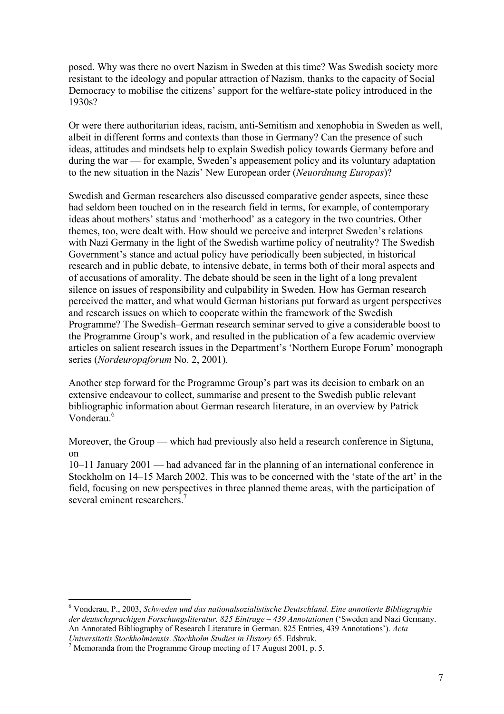posed. Why was there no overt Nazism in Sweden at this time? Was Swedish society more resistant to the ideology and popular attraction of Nazism, thanks to the capacity of Social Democracy to mobilise the citizens' support for the welfare-state policy introduced in the 1930s?

Or were there authoritarian ideas, racism, anti-Semitism and xenophobia in Sweden as well, albeit in different forms and contexts than those in Germany? Can the presence of such ideas, attitudes and mindsets help to explain Swedish policy towards Germany before and during the war — for example, Sweden's appeasement policy and its voluntary adaptation to the new situation in the Nazis' New European order (*Neuordnung Europas*)?

Swedish and German researchers also discussed comparative gender aspects, since these had seldom been touched on in the research field in terms, for example, of contemporary ideas about mothers' status and 'motherhood' as a category in the two countries. Other themes, too, were dealt with. How should we perceive and interpret Sweden's relations with Nazi Germany in the light of the Swedish wartime policy of neutrality? The Swedish Government's stance and actual policy have periodically been subjected, in historical research and in public debate, to intensive debate, in terms both of their moral aspects and of accusations of amorality. The debate should be seen in the light of a long prevalent silence on issues of responsibility and culpability in Sweden. How has German research perceived the matter, and what would German historians put forward as urgent perspectives and research issues on which to cooperate within the framework of the Swedish Programme? The Swedish–German research seminar served to give a considerable boost to the Programme Group's work, and resulted in the publication of a few academic overview articles on salient research issues in the Department's 'Northern Europe Forum' monograph series (*Nordeuropaforum* No. 2, 2001).

Another step forward for the Programme Group's part was its decision to embark on an extensive endeavour to collect, summarise and present to the Swedish public relevant bibliographic information about German research literature, in an overview by Patrick Vonderau<sup>6</sup>

Moreover, the Group — which had previously also held a research conference in Sigtuna, on

10–11 January 2001 — had advanced far in the planning of an international conference in Stockholm on 14–15 March 2002. This was to be concerned with the 'state of the art' in the field, focusing on new perspectives in three planned theme areas, with the participation of several eminent researchers<sup>7</sup>

<sup>6</sup> Vonderau, P., 2003, *Schweden und das nationalsozialistische Deutschland. Eine annotierte Bibliographie der deutschsprachigen Forschungsliteratur. 825 Eintrage – 439 Annotationen* ('Sweden and Nazi Germany. An Annotated Bibliography of Research Literature in German. 825 Entries, 439 Annotations'). *Acta Universitatis Stockholmiensis*. *Stockholm Studies in History* 65. Edsbruk. 7

 $\frac{7}{1}$  Memoranda from the Programme Group meeting of 17 August 2001, p. 5.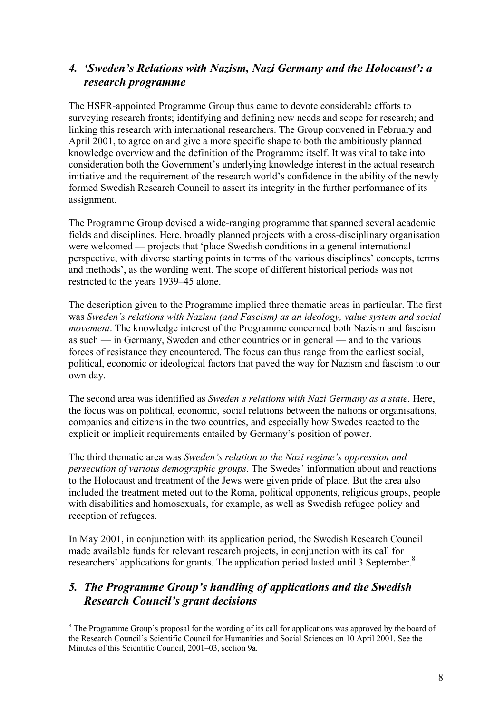### *4. 'Sweden's Relations with Nazism, Nazi Germany and the Holocaust': a research programme*

The HSFR-appointed Programme Group thus came to devote considerable efforts to surveying research fronts; identifying and defining new needs and scope for research; and linking this research with international researchers. The Group convened in February and April 2001, to agree on and give a more specific shape to both the ambitiously planned knowledge overview and the definition of the Programme itself. It was vital to take into consideration both the Government's underlying knowledge interest in the actual research initiative and the requirement of the research world's confidence in the ability of the newly formed Swedish Research Council to assert its integrity in the further performance of its assignment.

The Programme Group devised a wide-ranging programme that spanned several academic fields and disciplines. Here, broadly planned projects with a cross-disciplinary organisation were welcomed — projects that 'place Swedish conditions in a general international perspective, with diverse starting points in terms of the various disciplines' concepts, terms and methods', as the wording went. The scope of different historical periods was not restricted to the years 1939–45 alone.

The description given to the Programme implied three thematic areas in particular. The first was *Sweden's relations with Nazism (and Fascism) as an ideology, value system and social movement*. The knowledge interest of the Programme concerned both Nazism and fascism as such — in Germany, Sweden and other countries or in general — and to the various forces of resistance they encountered. The focus can thus range from the earliest social, political, economic or ideological factors that paved the way for Nazism and fascism to our own day.

The second area was identified as *Sweden's relations with Nazi Germany as a state*. Here, the focus was on political, economic, social relations between the nations or organisations, companies and citizens in the two countries, and especially how Swedes reacted to the explicit or implicit requirements entailed by Germany's position of power.

The third thematic area was *Sweden's relation to the Nazi regime's oppression and persecution of various demographic groups*. The Swedes' information about and reactions to the Holocaust and treatment of the Jews were given pride of place. But the area also included the treatment meted out to the Roma, political opponents, religious groups, people with disabilities and homosexuals, for example, as well as Swedish refugee policy and reception of refugees.

In May 2001, in conjunction with its application period, the Swedish Research Council made available funds for relevant research projects, in conjunction with its call for researchers' applications for grants. The application period lasted until 3 September.<sup>8</sup>

### *5. The Programme Group's handling of applications and the Swedish Research Council's grant decisions*

<sup>&</sup>lt;sup>8</sup> The Programme Group's proposal for the wording of its call for applications was approved by the board of the Research Council's Scientific Council for Humanities and Social Sciences on 10 April 2001. See the Minutes of this Scientific Council, 2001–03, section 9a.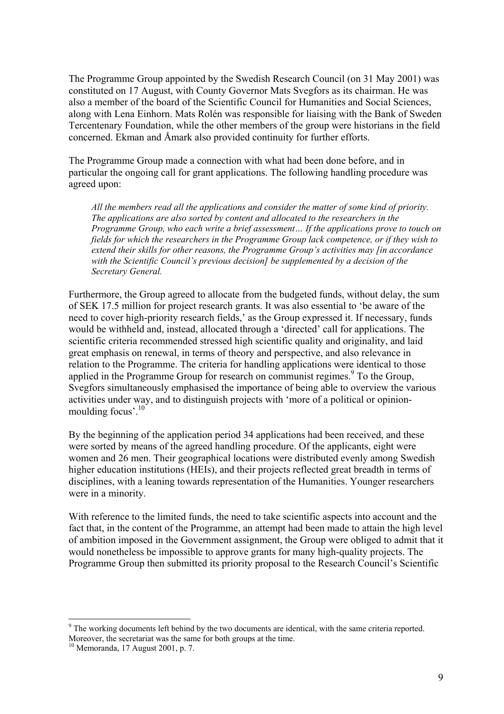The Programme Group appointed by the Swedish Research Council (on 31 May 2001) was constituted on 17 August, with County Governor Mats Svegfors as its chairman. He was also a member of the board of the Scientific Council for Humanities and Social Sciences, along with Lena Einhorn. Mats Rolén was responsible for liaising with the Bank of Sweden Tercentenary Foundation, while the other members of the group were historians in the field concerned. Ekman and Åmark also provided continuity for further efforts.

The Programme Group made a connection with what had been done before, and in particular the ongoing call for grant applications. The following handling procedure was agreed upon:

*All the members read all the applications and consider the matter of some kind of priority. The applications are also sorted by content and allocated to the researchers in the Programme Group, who each write a brief assessment… If the applications prove to touch on fields for which the researchers in the Programme Group lack competence, or if they wish to extend their skills for other reasons, the Programme Group's activities may [in accordance with the Scientific Council's previous decision] be supplemented by a decision of the Secretary General.* 

Furthermore, the Group agreed to allocate from the budgeted funds, without delay, the sum of SEK 17.5 million for project research grants. It was also essential to 'be aware of the need to cover high-priority research fields,' as the Group expressed it. If necessary, funds would be withheld and, instead, allocated through a 'directed' call for applications. The scientific criteria recommended stressed high scientific quality and originality, and laid great emphasis on renewal, in terms of theory and perspective, and also relevance in relation to the Programme. The criteria for handling applications were identical to those applied in the Programme Group for research on communist regimes. $9$  To the Group, Svegfors simultaneously emphasised the importance of being able to overview the various activities under way, and to distinguish projects with 'more of a political or opinionmoulding focus'.<sup>10</sup>

By the beginning of the application period 34 applications had been received, and these were sorted by means of the agreed handling procedure. Of the applicants, eight were women and 26 men. Their geographical locations were distributed evenly among Swedish higher education institutions (HEIs), and their projects reflected great breadth in terms of disciplines, with a leaning towards representation of the Humanities. Younger researchers were in a minority.

With reference to the limited funds, the need to take scientific aspects into account and the fact that, in the content of the Programme, an attempt had been made to attain the high level of ambition imposed in the Government assignment, the Group were obliged to admit that it would nonetheless be impossible to approve grants for many high-quality projects. The Programme Group then submitted its priority proposal to the Research Council's Scientific

 $9$  The working documents left behind by the two documents are identical, with the same criteria reported. Moreover, the secretariat was the same for both groups at the time.<br><sup>10</sup> Memoranda, 17 August 2001, p. 7.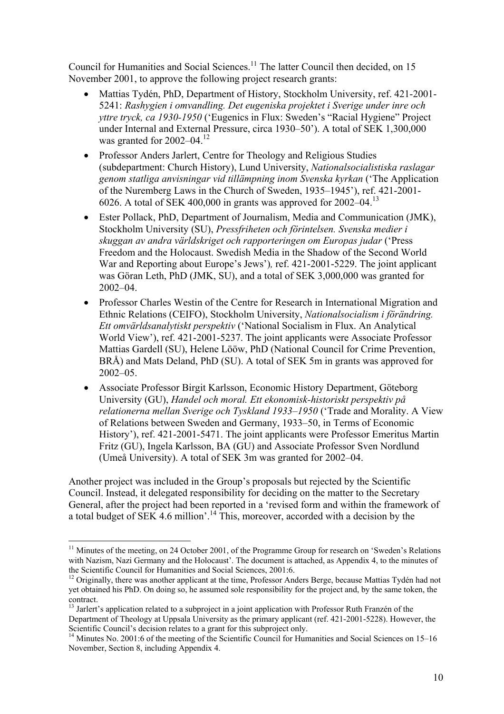Council for Humanities and Social Sciences.<sup>11</sup> The latter Council then decided, on 15 November 2001, to approve the following project research grants:

- Mattias Tydén, PhD, Department of History, Stockholm University, ref. 421-2001- 5241: *Rashygien i omvandling. Det eugeniska projektet i Sverige under inre och yttre tryck, ca 1930-1950* ('Eugenics in Flux: Sweden's "Racial Hygiene" Project under Internal and External Pressure, circa 1930–50'). A total of SEK 1,300,000 was granted for 2002–04.<sup>12</sup>
- Professor Anders Jarlert, Centre for Theology and Religious Studies (subdepartment: Church History), Lund University, *Nationalsocialistiska raslagar genom statliga anvisningar vid tillämpning inom Svenska kyrkan* ('The Application of the Nuremberg Laws in the Church of Sweden, 1935–1945'), ref. 421-2001- 6026. A total of SEK 400,000 in grants was approved for  $2002-04$ .<sup>13</sup>
- Ester Pollack, PhD, Department of Journalism, Media and Communication (JMK), Stockholm University (SU), *Pressfriheten och förintelsen. Svenska medier i skuggan av andra världskriget och rapporteringen om Europas judar* ('Press Freedom and the Holocaust. Swedish Media in the Shadow of the Second World War and Reporting about Europe's Jews')*,* ref. 421-2001-5229. The joint applicant was Göran Leth, PhD (JMK, SU), and a total of SEK 3,000,000 was granted for 2002–04.
- Professor Charles Westin of the Centre for Research in International Migration and Ethnic Relations (CEIFO), Stockholm University, *Nationalsocialism i förändring. Ett omvärldsanalytiskt perspektiv* ('National Socialism in Flux. An Analytical World View'), ref. 421-2001-5237. The joint applicants were Associate Professor Mattias Gardell (SU), Helene Lööw, PhD (National Council for Crime Prevention, BRÅ) and Mats Deland, PhD (SU). A total of SEK 5m in grants was approved for 2002–05.
- Associate Professor Birgit Karlsson, Economic History Department, Göteborg University (GU), *Handel och moral. Ett ekonomisk-historiskt perspektiv på relationerna mellan Sverige och Tyskland 1933–1950* ('Trade and Morality. A View of Relations between Sweden and Germany, 1933–50, in Terms of Economic History'), ref. 421-2001-5471. The joint applicants were Professor Emeritus Martin Fritz (GU), Ingela Karlsson, BA (GU) and Associate Professor Sven Nordlund (Umeå University). A total of SEK 3m was granted for 2002–04.

Another project was included in the Group's proposals but rejected by the Scientific Council. Instead, it delegated responsibility for deciding on the matter to the Secretary General, after the project had been reported in a 'revised form and within the framework of a total budget of  $SEK$  4.6 million'.<sup>14</sup> This, moreover, accorded with a decision by the

 $\overline{a}$  $11$  Minutes of the meeting, on 24 October 2001, of the Programme Group for research on 'Sweden's Relations with Nazism, Nazi Germany and the Holocaust'. The document is attached, as Appendix 4, to the minutes of the Scientific Council for Humanities and Social Sciences, 2001:6.

<sup>&</sup>lt;sup>12</sup> Originally, there was another applicant at the time, Professor Anders Berge, because Mattias Tydén had not yet obtained his PhD. On doing so, he assumed sole responsibility for the project and, by the same token, the contract.

<sup>&</sup>lt;sup>13</sup> Jarlert's application related to a subproject in a joint application with Professor Ruth Franzén of the Department of Theology at Uppsala University as the primary applicant (ref. 421-2001-5228). However, the Scientific Council's decision relates to a grant for this subproject only.

<sup>&</sup>lt;sup>14</sup> Minutes No. 2001:6 of the meeting of the Scientific Council for Humanities and Social Sciences on 15–16 November, Section 8, including Appendix 4.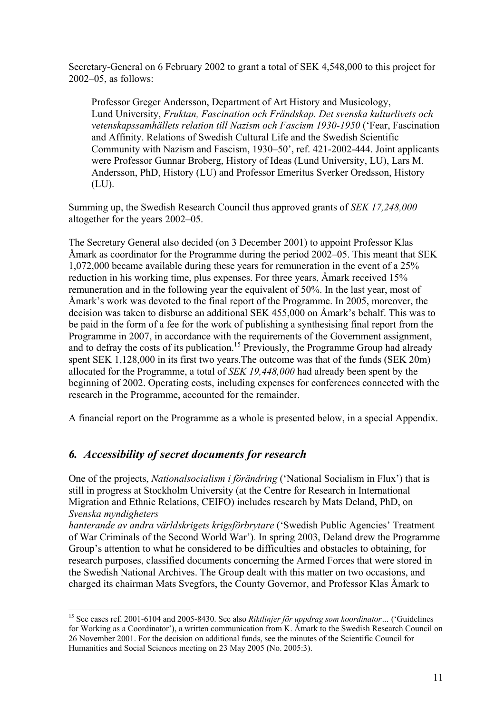Secretary-General on 6 February 2002 to grant a total of SEK 4,548,000 to this project for 2002–05, as follows:

Professor Greger Andersson, Department of Art History and Musicology, Lund University, *Fruktan, Fascination och Frändskap. Det svenska kulturlivets och vetenskapssamhällets relation till Nazism och Fascism 1930-1950* ('Fear, Fascination and Affinity. Relations of Swedish Cultural Life and the Swedish Scientific Community with Nazism and Fascism, 1930–50', ref. 421-2002-444. Joint applicants were Professor Gunnar Broberg, History of Ideas (Lund University, LU), Lars M. Andersson, PhD, History (LU) and Professor Emeritus Sverker Oredsson, History (LU).

Summing up, the Swedish Research Council thus approved grants of *SEK 17,248,000*  altogether for the years 2002–05.

The Secretary General also decided (on 3 December 2001) to appoint Professor Klas Åmark as coordinator for the Programme during the period 2002–05. This meant that SEK 1,072,000 became available during these years for remuneration in the event of a 25% reduction in his working time, plus expenses. For three years, Åmark received 15% remuneration and in the following year the equivalent of 50%. In the last year, most of Åmark's work was devoted to the final report of the Programme. In 2005, moreover, the decision was taken to disburse an additional SEK 455,000 on Åmark's behalf. This was to be paid in the form of a fee for the work of publishing a synthesising final report from the Programme in 2007, in accordance with the requirements of the Government assignment, and to defray the costs of its publication.<sup>15</sup> Previously, the Programme Group had already spent SEK 1,128,000 in its first two years.The outcome was that of the funds (SEK 20m) allocated for the Programme, a total of *SEK 19,448,000* had already been spent by the beginning of 2002. Operating costs, including expenses for conferences connected with the research in the Programme, accounted for the remainder.

A financial report on the Programme as a whole is presented below, in a special Appendix.

### *6. Accessibility of secret documents for research*

 $\overline{a}$ 

One of the projects, *Nationalsocialism i förändring* ('National Socialism in Flux') that is still in progress at Stockholm University (at the Centre for Research in International Migration and Ethnic Relations, CEIFO) includes research by Mats Deland, PhD, on *Svenska myndigheters* 

*hanterande av andra världskrigets krigsförbrytare* ('Swedish Public Agencies' Treatment of War Criminals of the Second World War')*.* In spring 2003, Deland drew the Programme Group's attention to what he considered to be difficulties and obstacles to obtaining, for research purposes, classified documents concerning the Armed Forces that were stored in the Swedish National Archives. The Group dealt with this matter on two occasions, and charged its chairman Mats Svegfors, the County Governor, and Professor Klas Åmark to

<sup>15</sup> See cases ref. 2001-6104 and 2005-8430. See also *Riktlinjer för uppdrag som koordinator…* ('Guidelines for Working as a Coordinator'), a written communication from K. Åmark to the Swedish Research Council on 26 November 2001. For the decision on additional funds, see the minutes of the Scientific Council for Humanities and Social Sciences meeting on 23 May 2005 (No. 2005:3).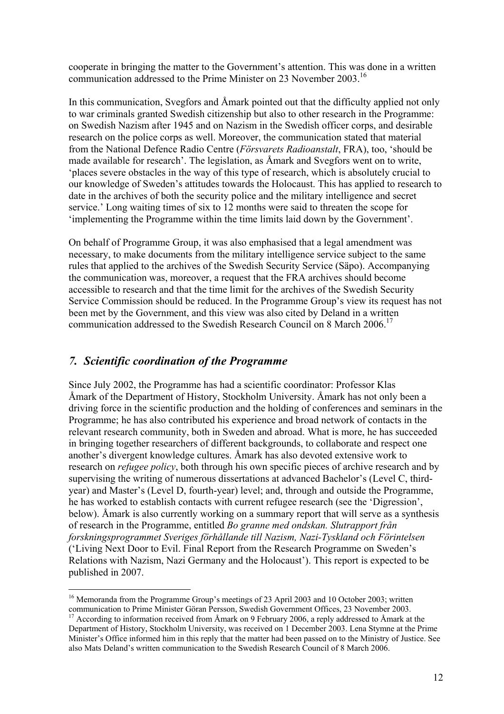cooperate in bringing the matter to the Government's attention. This was done in a written communication addressed to the Prime Minister on 23 November 2003.<sup>16</sup>

In this communication, Svegfors and Åmark pointed out that the difficulty applied not only to war criminals granted Swedish citizenship but also to other research in the Programme: on Swedish Nazism after 1945 and on Nazism in the Swedish officer corps, and desirable research on the police corps as well. Moreover, the communication stated that material from the National Defence Radio Centre (*Försvarets Radioanstalt*, FRA), too, 'should be made available for research'. The legislation, as Åmark and Svegfors went on to write, 'places severe obstacles in the way of this type of research, which is absolutely crucial to our knowledge of Sweden's attitudes towards the Holocaust. This has applied to research to date in the archives of both the security police and the military intelligence and secret service.' Long waiting times of six to 12 months were said to threaten the scope for 'implementing the Programme within the time limits laid down by the Government'.

On behalf of Programme Group, it was also emphasised that a legal amendment was necessary, to make documents from the military intelligence service subject to the same rules that applied to the archives of the Swedish Security Service (Säpo). Accompanying the communication was, moreover, a request that the FRA archives should become accessible to research and that the time limit for the archives of the Swedish Security Service Commission should be reduced. In the Programme Group's view its request has not been met by the Government, and this view was also cited by Deland in a written communication addressed to the Swedish Research Council on 8 March 2006.<sup>17</sup>

### *7. Scientific coordination of the Programme*

Since July 2002, the Programme has had a scientific coordinator: Professor Klas Åmark of the Department of History, Stockholm University. Åmark has not only been a driving force in the scientific production and the holding of conferences and seminars in the Programme; he has also contributed his experience and broad network of contacts in the relevant research community, both in Sweden and abroad. What is more, he has succeeded in bringing together researchers of different backgrounds, to collaborate and respect one another's divergent knowledge cultures. Åmark has also devoted extensive work to research on *refugee policy*, both through his own specific pieces of archive research and by supervising the writing of numerous dissertations at advanced Bachelor's (Level C, thirdyear) and Master's (Level D, fourth-year) level; and, through and outside the Programme, he has worked to establish contacts with current refugee research (see the 'Digression', below). Åmark is also currently working on a summary report that will serve as a synthesis of research in the Programme, entitled *Bo granne med ondskan. Slutrapport från forskningsprogrammet Sveriges förhållande till Nazism, Nazi-Tyskland och Förintelsen*  ('Living Next Door to Evil. Final Report from the Research Programme on Sweden's Relations with Nazism, Nazi Germany and the Holocaust'). This report is expected to be published in 2007.

 $\overline{a}$ <sup>16</sup> Memoranda from the Programme Group's meetings of 23 April 2003 and 10 October 2003; written communication to Prime Minister Göran Persson, Swedish Government Offices, 23 November 2003.

<sup>&</sup>lt;sup>17</sup> According to information received from Åmark on 9 February 2006, a reply addressed to Åmark at the Department of History, Stockholm University, was received on 1 December 2003. Lena Stymne at the Prime Minister's Office informed him in this reply that the matter had been passed on to the Ministry of Justice. See also Mats Deland's written communication to the Swedish Research Council of 8 March 2006.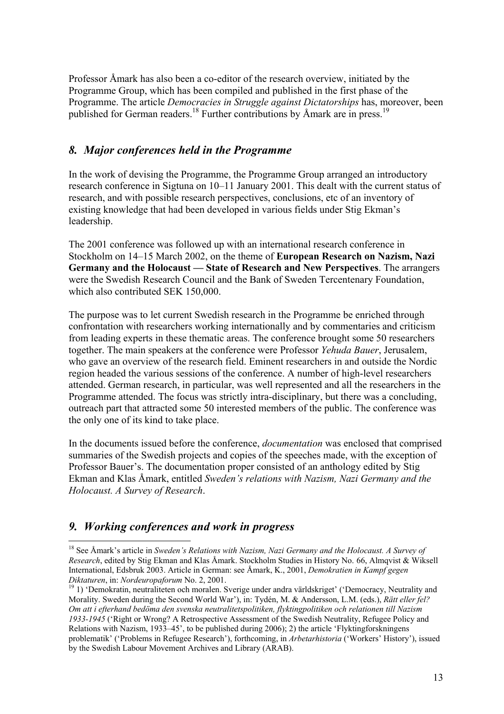Professor Åmark has also been a co-editor of the research overview, initiated by the Programme Group, which has been compiled and published in the first phase of the Programme. The article *Democracies in Struggle against Dictatorships* has, moreover, been published for German readers.<sup>18</sup> Further contributions by Åmark are in press.<sup>19</sup>

### *8. Major conferences held in the Programme*

In the work of devising the Programme, the Programme Group arranged an introductory research conference in Sigtuna on 10–11 January 2001. This dealt with the current status of research, and with possible research perspectives, conclusions, etc of an inventory of existing knowledge that had been developed in various fields under Stig Ekman's leadership.

The 2001 conference was followed up with an international research conference in Stockholm on 14–15 March 2002, on the theme of **European Research on Nazism, Nazi Germany and the Holocaust — State of Research and New Perspectives**. The arrangers were the Swedish Research Council and the Bank of Sweden Tercentenary Foundation, which also contributed SEK 150,000.

The purpose was to let current Swedish research in the Programme be enriched through confrontation with researchers working internationally and by commentaries and criticism from leading experts in these thematic areas. The conference brought some 50 researchers together. The main speakers at the conference were Professor *Yehuda Bauer*, Jerusalem, who gave an overview of the research field. Eminent researchers in and outside the Nordic region headed the various sessions of the conference. A number of high-level researchers attended. German research, in particular, was well represented and all the researchers in the Programme attended. The focus was strictly intra-disciplinary, but there was a concluding, outreach part that attracted some 50 interested members of the public. The conference was the only one of its kind to take place.

In the documents issued before the conference, *documentation* was enclosed that comprised summaries of the Swedish projects and copies of the speeches made, with the exception of Professor Bauer's. The documentation proper consisted of an anthology edited by Stig Ekman and Klas Åmark, entitled *Sweden's relations with Nazism, Nazi Germany and the Holocaust. A Survey of Research*.

## *9. Working conferences and work in progress*

<sup>18</sup> See Åmark's article in *Sweden's Relations with Nazism, Nazi Germany and the Holocaust. A Survey of Research*, edited by Stig Ekman and Klas Åmark. Stockholm Studies in History No. 66, Almqvist & Wiksell International, Edsbruk 2003. Article in German: see Åmark, K., 2001, *Demokratien in Kampf gegen* 

<sup>&</sup>lt;sup>19</sup> 1) 'Demokratin, neutraliteten och moralen. Sverige under andra världskriget' ('Democracy, Neutrality and Morality. Sweden during the Second World War'), in: Tydén, M. & Andersson, L.M. (eds.), *Rätt eller fel? Om att i efterhand bedöma den svenska neutralitetspolitiken, flyktingpolitiken och relationen till Nazism 1933-1945* ('Right or Wrong? A Retrospective Assessment of the Swedish Neutrality, Refugee Policy and Relations with Nazism, 1933–45', to be published during 2006); 2) the article 'Flyktingforskningens problematik' ('Problems in Refugee Research'), forthcoming, in *Arbetarhistoria* ('Workers' History'), issued by the Swedish Labour Movement Archives and Library (ARAB).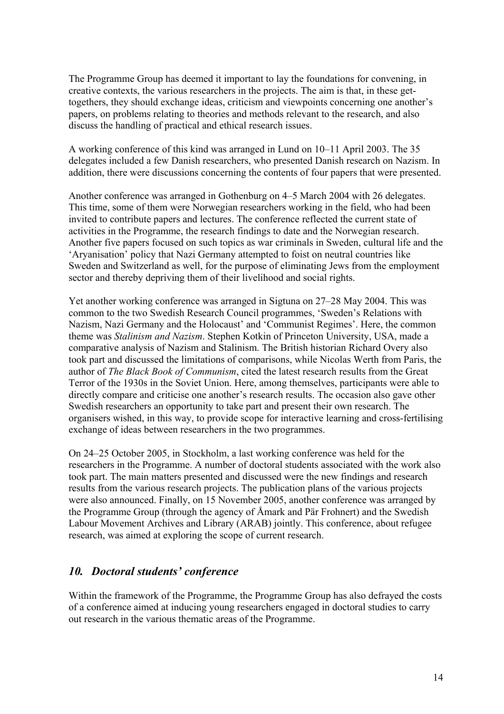The Programme Group has deemed it important to lay the foundations for convening, in creative contexts, the various researchers in the projects. The aim is that, in these gettogethers, they should exchange ideas, criticism and viewpoints concerning one another's papers, on problems relating to theories and methods relevant to the research, and also discuss the handling of practical and ethical research issues.

A working conference of this kind was arranged in Lund on 10–11 April 2003. The 35 delegates included a few Danish researchers, who presented Danish research on Nazism. In addition, there were discussions concerning the contents of four papers that were presented.

Another conference was arranged in Gothenburg on 4–5 March 2004 with 26 delegates. This time, some of them were Norwegian researchers working in the field, who had been invited to contribute papers and lectures. The conference reflected the current state of activities in the Programme, the research findings to date and the Norwegian research. Another five papers focused on such topics as war criminals in Sweden, cultural life and the 'Aryanisation' policy that Nazi Germany attempted to foist on neutral countries like Sweden and Switzerland as well, for the purpose of eliminating Jews from the employment sector and thereby depriving them of their livelihood and social rights.

Yet another working conference was arranged in Sigtuna on 27–28 May 2004. This was common to the two Swedish Research Council programmes, 'Sweden's Relations with Nazism, Nazi Germany and the Holocaust' and 'Communist Regimes'. Here, the common theme was *Stalinism and Nazism*. Stephen Kotkin of Princeton University, USA, made a comparative analysis of Nazism and Stalinism. The British historian Richard Overy also took part and discussed the limitations of comparisons, while Nicolas Werth from Paris, the author of *The Black Book of Communism*, cited the latest research results from the Great Terror of the 1930s in the Soviet Union. Here, among themselves, participants were able to directly compare and criticise one another's research results. The occasion also gave other Swedish researchers an opportunity to take part and present their own research. The organisers wished, in this way, to provide scope for interactive learning and cross-fertilising exchange of ideas between researchers in the two programmes.

On 24–25 October 2005, in Stockholm, a last working conference was held for the researchers in the Programme. A number of doctoral students associated with the work also took part. The main matters presented and discussed were the new findings and research results from the various research projects. The publication plans of the various projects were also announced. Finally, on 15 November 2005, another conference was arranged by the Programme Group (through the agency of Åmark and Pär Frohnert) and the Swedish Labour Movement Archives and Library (ARAB) jointly. This conference, about refugee research, was aimed at exploring the scope of current research.

### *10. Doctoral students' conference*

Within the framework of the Programme, the Programme Group has also defrayed the costs of a conference aimed at inducing young researchers engaged in doctoral studies to carry out research in the various thematic areas of the Programme.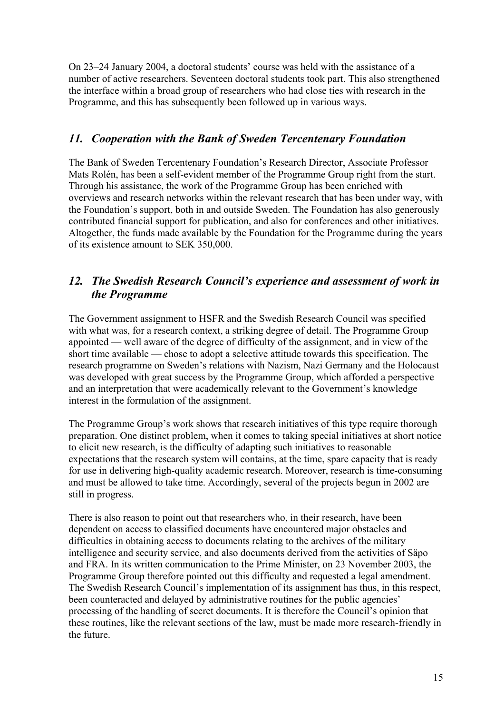On 23–24 January 2004, a doctoral students' course was held with the assistance of a number of active researchers. Seventeen doctoral students took part. This also strengthened the interface within a broad group of researchers who had close ties with research in the Programme, and this has subsequently been followed up in various ways.

### *11. Cooperation with the Bank of Sweden Tercentenary Foundation*

The Bank of Sweden Tercentenary Foundation's Research Director, Associate Professor Mats Rolén, has been a self-evident member of the Programme Group right from the start. Through his assistance, the work of the Programme Group has been enriched with overviews and research networks within the relevant research that has been under way, with the Foundation's support, both in and outside Sweden. The Foundation has also generously contributed financial support for publication, and also for conferences and other initiatives. Altogether, the funds made available by the Foundation for the Programme during the years of its existence amount to SEK 350,000.

### *12. The Swedish Research Council's experience and assessment of work in the Programme*

The Government assignment to HSFR and the Swedish Research Council was specified with what was, for a research context, a striking degree of detail. The Programme Group appointed — well aware of the degree of difficulty of the assignment, and in view of the short time available — chose to adopt a selective attitude towards this specification. The research programme on Sweden's relations with Nazism, Nazi Germany and the Holocaust was developed with great success by the Programme Group, which afforded a perspective and an interpretation that were academically relevant to the Government's knowledge interest in the formulation of the assignment.

The Programme Group's work shows that research initiatives of this type require thorough preparation. One distinct problem, when it comes to taking special initiatives at short notice to elicit new research, is the difficulty of adapting such initiatives to reasonable expectations that the research system will contains, at the time, spare capacity that is ready for use in delivering high-quality academic research. Moreover, research is time-consuming and must be allowed to take time. Accordingly, several of the projects begun in 2002 are still in progress.

There is also reason to point out that researchers who, in their research, have been dependent on access to classified documents have encountered major obstacles and difficulties in obtaining access to documents relating to the archives of the military intelligence and security service, and also documents derived from the activities of Säpo and FRA. In its written communication to the Prime Minister, on 23 November 2003, the Programme Group therefore pointed out this difficulty and requested a legal amendment. The Swedish Research Council's implementation of its assignment has thus, in this respect, been counteracted and delayed by administrative routines for the public agencies' processing of the handling of secret documents. It is therefore the Council's opinion that these routines, like the relevant sections of the law, must be made more research-friendly in the future.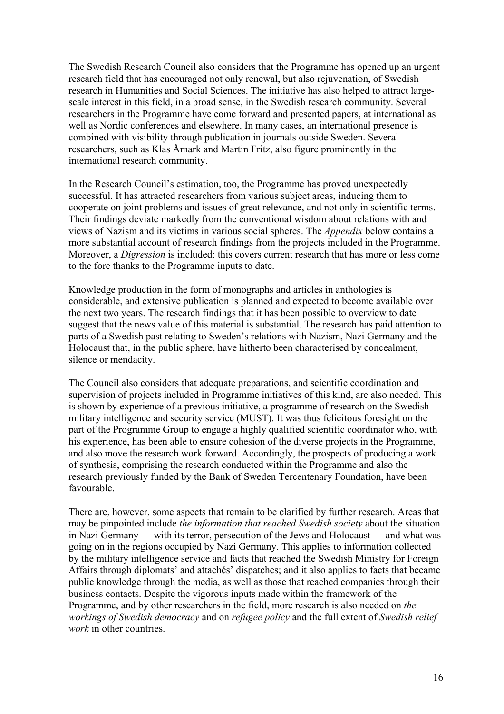The Swedish Research Council also considers that the Programme has opened up an urgent research field that has encouraged not only renewal, but also rejuvenation, of Swedish research in Humanities and Social Sciences. The initiative has also helped to attract largescale interest in this field, in a broad sense, in the Swedish research community. Several researchers in the Programme have come forward and presented papers, at international as well as Nordic conferences and elsewhere. In many cases, an international presence is combined with visibility through publication in journals outside Sweden. Several researchers, such as Klas Åmark and Martin Fritz, also figure prominently in the international research community.

In the Research Council's estimation, too, the Programme has proved unexpectedly successful. It has attracted researchers from various subject areas, inducing them to cooperate on joint problems and issues of great relevance, and not only in scientific terms. Their findings deviate markedly from the conventional wisdom about relations with and views of Nazism and its victims in various social spheres. The *Appendix* below contains a more substantial account of research findings from the projects included in the Programme. Moreover, a *Digression* is included: this covers current research that has more or less come to the fore thanks to the Programme inputs to date.

Knowledge production in the form of monographs and articles in anthologies is considerable, and extensive publication is planned and expected to become available over the next two years. The research findings that it has been possible to overview to date suggest that the news value of this material is substantial. The research has paid attention to parts of a Swedish past relating to Sweden's relations with Nazism, Nazi Germany and the Holocaust that, in the public sphere, have hitherto been characterised by concealment, silence or mendacity.

The Council also considers that adequate preparations, and scientific coordination and supervision of projects included in Programme initiatives of this kind, are also needed. This is shown by experience of a previous initiative, a programme of research on the Swedish military intelligence and security service (MUST). It was thus felicitous foresight on the part of the Programme Group to engage a highly qualified scientific coordinator who, with his experience, has been able to ensure cohesion of the diverse projects in the Programme, and also move the research work forward. Accordingly, the prospects of producing a work of synthesis, comprising the research conducted within the Programme and also the research previously funded by the Bank of Sweden Tercentenary Foundation, have been favourable.

There are, however, some aspects that remain to be clarified by further research. Areas that may be pinpointed include *the information that reached Swedish society* about the situation in Nazi Germany — with its terror, persecution of the Jews and Holocaust — and what was going on in the regions occupied by Nazi Germany. This applies to information collected by the military intelligence service and facts that reached the Swedish Ministry for Foreign Affairs through diplomats' and attachés' dispatches; and it also applies to facts that became public knowledge through the media, as well as those that reached companies through their business contacts. Despite the vigorous inputs made within the framework of the Programme, and by other researchers in the field, more research is also needed on *the workings of Swedish democracy* and on *refugee policy* and the full extent of *Swedish relief work* in other countries.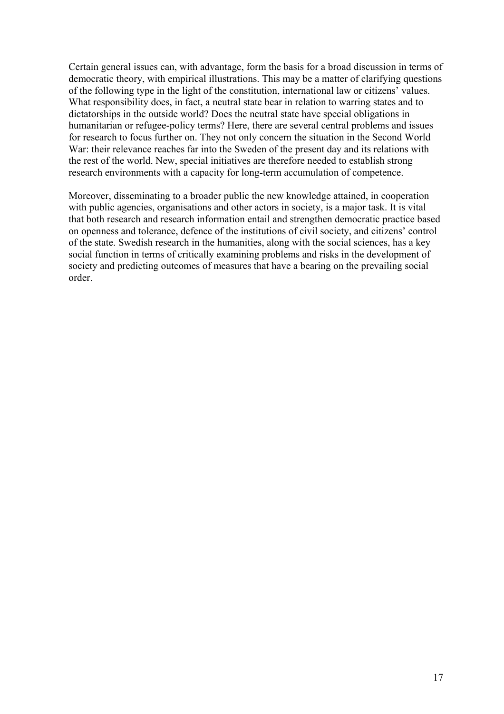Certain general issues can, with advantage, form the basis for a broad discussion in terms of democratic theory, with empirical illustrations. This may be a matter of clarifying questions of the following type in the light of the constitution, international law or citizens' values. What responsibility does, in fact, a neutral state bear in relation to warring states and to dictatorships in the outside world? Does the neutral state have special obligations in humanitarian or refugee-policy terms? Here, there are several central problems and issues for research to focus further on. They not only concern the situation in the Second World War: their relevance reaches far into the Sweden of the present day and its relations with the rest of the world. New, special initiatives are therefore needed to establish strong research environments with a capacity for long-term accumulation of competence.

Moreover, disseminating to a broader public the new knowledge attained, in cooperation with public agencies, organisations and other actors in society, is a major task. It is vital that both research and research information entail and strengthen democratic practice based on openness and tolerance, defence of the institutions of civil society, and citizens' control of the state. Swedish research in the humanities, along with the social sciences, has a key social function in terms of critically examining problems and risks in the development of society and predicting outcomes of measures that have a bearing on the prevailing social order.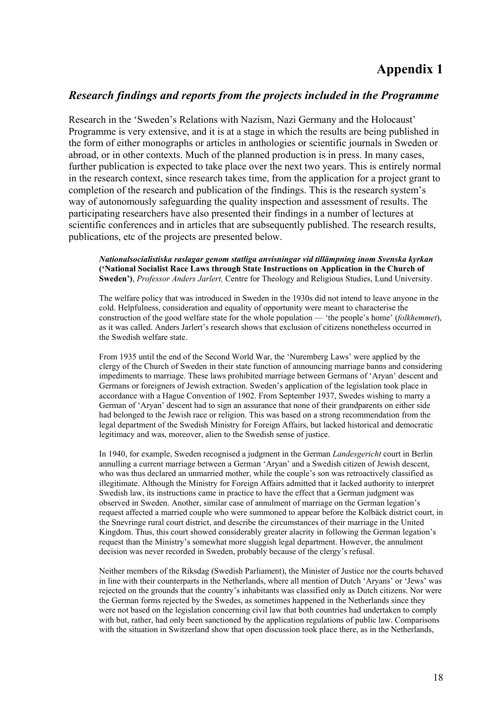# **Appendix 1**

### *Research findings and reports from the projects included in the Programme*

Research in the 'Sweden's Relations with Nazism, Nazi Germany and the Holocaust' Programme is very extensive, and it is at a stage in which the results are being published in the form of either monographs or articles in anthologies or scientific journals in Sweden or abroad, or in other contexts. Much of the planned production is in press. In many cases, further publication is expected to take place over the next two years. This is entirely normal in the research context, since research takes time, from the application for a project grant to completion of the research and publication of the findings. This is the research system's way of autonomously safeguarding the quality inspection and assessment of results. The participating researchers have also presented their findings in a number of lectures at scientific conferences and in articles that are subsequently published. The research results, publications, etc of the projects are presented below.

*Nationalsocialistiska raslagar genom statliga anvisningar vid tillämpning inom Svenska kyrkan* **('National Socialist Race Laws through State Instructions on Application in the Church of Sweden')**, *Professor Anders Jarlert,* Centre for Theology and Religious Studies, Lund University.

The welfare policy that was introduced in Sweden in the 1930s did not intend to leave anyone in the cold. Helpfulness, consideration and equality of opportunity were meant to characterise the construction of the good welfare state for the whole population — 'the people's home' (*folkhemmet*), as it was called. Anders Jarlert's research shows that exclusion of citizens nonetheless occurred in the Swedish welfare state.

From 1935 until the end of the Second World War, the 'Nuremberg Laws' were applied by the clergy of the Church of Sweden in their state function of announcing marriage banns and considering impediments to marriage. These laws prohibited marriage between Germans of 'Aryan' descent and Germans or foreigners of Jewish extraction. Sweden's application of the legislation took place in accordance with a Hague Convention of 1902. From September 1937, Swedes wishing to marry a German of 'Aryan' descent had to sign an assurance that none of their grandparents on either side had belonged to the Jewish race or religion. This was based on a strong recommendation from the legal department of the Swedish Ministry for Foreign Affairs, but lacked historical and democratic legitimacy and was, moreover, alien to the Swedish sense of justice.

In 1940, for example, Sweden recognised a judgment in the German *Landesgericht* court in Berlin annulling a current marriage between a German 'Aryan' and a Swedish citizen of Jewish descent, who was thus declared an unmarried mother, while the couple's son was retroactively classified as illegitimate. Although the Ministry for Foreign Affairs admitted that it lacked authority to interpret Swedish law, its instructions came in practice to have the effect that a German judgment was observed in Sweden. Another, similar case of annulment of marriage on the German legation's request affected a married couple who were summoned to appear before the Kolbäck district court, in the Snevringe rural court district, and describe the circumstances of their marriage in the United Kingdom. Thus, this court showed considerably greater alacrity in following the German legation's request than the Ministry's somewhat more sluggish legal department. However, the annulment decision was never recorded in Sweden, probably because of the clergy's refusal.

Neither members of the Riksdag (Swedish Parliament), the Minister of Justice nor the courts behaved in line with their counterparts in the Netherlands, where all mention of Dutch 'Aryans' or 'Jews' was rejected on the grounds that the country's inhabitants was classified only as Dutch citizens. Nor were the German forms rejected by the Swedes, as sometimes happened in the Netherlands since they were not based on the legislation concerning civil law that both countries had undertaken to comply with but, rather, had only been sanctioned by the application regulations of public law. Comparisons with the situation in Switzerland show that open discussion took place there, as in the Netherlands,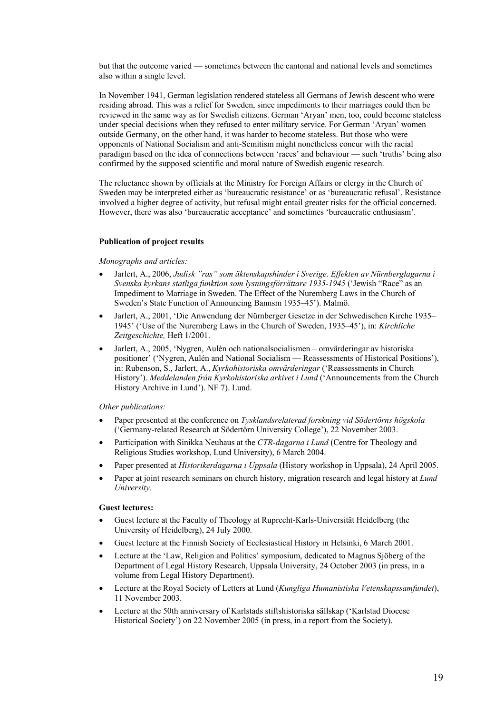but that the outcome varied — sometimes between the cantonal and national levels and sometimes also within a single level.

In November 1941, German legislation rendered stateless all Germans of Jewish descent who were residing abroad. This was a relief for Sweden, since impediments to their marriages could then be reviewed in the same way as for Swedish citizens. German 'Aryan' men, too, could become stateless under special decisions when they refused to enter military service. For German 'Aryan' women outside Germany, on the other hand, it was harder to become stateless. But those who were opponents of National Socialism and anti-Semitism might nonetheless concur with the racial paradigm based on the idea of connections between 'races' and behaviour — such 'truths' being also confirmed by the supposed scientific and moral nature of Swedish eugenic research.

The reluctance shown by officials at the Ministry for Foreign Affairs or clergy in the Church of Sweden may be interpreted either as 'bureaucratic resistance' or as 'bureaucratic refusal'. Resistance involved a higher degree of activity, but refusal might entail greater risks for the official concerned. However, there was also 'bureaucratic acceptance' and sometimes 'bureaucratic enthusiasm'.

#### **Publication of project results**

#### *Monographs and articles:*

- Jarlert, A., 2006, *Judisk "ras" som äktenskapshinder i Sverige. Effekten av Nürnberglagarna i Svenska kyrkans statliga funktion som lysningsförrättare 1935-1945* ('Jewish "Race" as an Impediment to Marriage in Sweden. The Effect of the Nuremberg Laws in the Church of Sweden's State Function of Announcing Bannsm 1935–45'). Malmö.
- Jarlert, A., 2001, 'Die Anwendung der Nürnberger Gesetze in der Schwedischen Kirche 1935– 1945' ('Use of the Nuremberg Laws in the Church of Sweden, 1935–45'), in: *Kirchliche Zeitgeschichte,* Heft 1/2001.
- Jarlert, A., 2005, 'Nygren, Aulén och nationalsocialismen omvärderingar av historiska positioner' ('Nygren, Aulén and National Socialism — Reassessments of Historical Positions'), in: Rubenson, S., Jarlert, A., *Kyrkohistoriska omvärderingar* ('Reassessments in Church History'). *Meddelanden från Kyrkohistoriska arkivet i Lund* ('Announcements from the Church History Archive in Lund'). NF 7). Lund.

#### *Other publications:*

- Paper presented at the conference on *Tysklandsrelaterad forskning vid Södertörns högskola*  ('Germany-related Research at Södertörn University College'), 22 November 2003.
- Participation with Sinikka Neuhaus at the *CTR-dagarna i Lund* (Centre for Theology and Religious Studies workshop, Lund University), 6 March 2004.
- Paper presented at *Historikerdagarna i Uppsala* (History workshop in Uppsala), 24 April 2005.
- Paper at joint research seminars on church history, migration research and legal history at *Lund University*.

#### **Guest lectures:**

- Guest lecture at the Faculty of Theology at Ruprecht-Karls-Universität Heidelberg (the University of Heidelberg), 24 July 2000.
- Guest lecture at the Finnish Society of Ecclesiastical History in Helsinki, 6 March 2001.
- Lecture at the 'Law, Religion and Politics' symposium, dedicated to Magnus Sjöberg of the Department of Legal History Research, Uppsala University, 24 October 2003 (in press, in a volume from Legal History Department).
- Lecture at the Royal Society of Letters at Lund (*Kungliga Humanistiska Vetenskapssamfundet*), 11 November 2003.
- Lecture at the 50th anniversary of Karlstads stiftshistoriska sällskap ('Karlstad Diocese Historical Society') on 22 November 2005 (in press, in a report from the Society).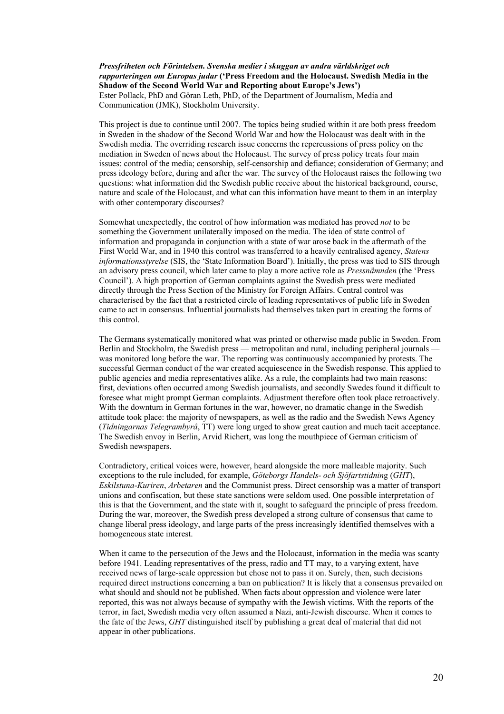*Pressfriheten och Förintelsen. Svenska medier i skuggan av andra världskriget och rapporteringen om Europas judar* **('Press Freedom and the Holocaust. Swedish Media in the Shadow of the Second World War and Reporting about Europe's Jews')**  Ester Pollack, PhD and Göran Leth, PhD, of the Department of Journalism, Media and Communication (JMK), Stockholm University.

This project is due to continue until 2007. The topics being studied within it are both press freedom in Sweden in the shadow of the Second World War and how the Holocaust was dealt with in the Swedish media. The overriding research issue concerns the repercussions of press policy on the mediation in Sweden of news about the Holocaust. The survey of press policy treats four main issues: control of the media; censorship, self-censorship and defiance; consideration of Germany; and press ideology before, during and after the war. The survey of the Holocaust raises the following two questions: what information did the Swedish public receive about the historical background, course, nature and scale of the Holocaust, and what can this information have meant to them in an interplay with other contemporary discourses?

Somewhat unexpectedly, the control of how information was mediated has proved *not* to be something the Government unilaterally imposed on the media. The idea of state control of information and propaganda in conjunction with a state of war arose back in the aftermath of the First World War, and in 1940 this control was transferred to a heavily centralised agency, *Statens informationsstyrelse* (SIS, the 'State Information Board'). Initially, the press was tied to SIS through an advisory press council, which later came to play a more active role as *Pressnämnden* (the 'Press Council'). A high proportion of German complaints against the Swedish press were mediated directly through the Press Section of the Ministry for Foreign Affairs. Central control was characterised by the fact that a restricted circle of leading representatives of public life in Sweden came to act in consensus. Influential journalists had themselves taken part in creating the forms of this control.

The Germans systematically monitored what was printed or otherwise made public in Sweden. From Berlin and Stockholm, the Swedish press — metropolitan and rural, including peripheral journals was monitored long before the war. The reporting was continuously accompanied by protests. The successful German conduct of the war created acquiescence in the Swedish response. This applied to public agencies and media representatives alike. As a rule, the complaints had two main reasons: first, deviations often occurred among Swedish journalists, and secondly Swedes found it difficult to foresee what might prompt German complaints. Adjustment therefore often took place retroactively. With the downturn in German fortunes in the war, however, no dramatic change in the Swedish attitude took place: the majority of newspapers, as well as the radio and the Swedish News Agency (*Tidningarnas Telegrambyrå*, TT) were long urged to show great caution and much tacit acceptance. The Swedish envoy in Berlin, Arvid Richert, was long the mouthpiece of German criticism of Swedish newspapers.

Contradictory, critical voices were, however, heard alongside the more malleable majority. Such exceptions to the rule included, for example, *Göteborgs Handels- och Sjöfartstidnin*g (*GHT*), *Eskilstuna-Kuriren*, *Arbetaren* and the Communist press. Direct censorship was a matter of transport unions and confiscation, but these state sanctions were seldom used. One possible interpretation of this is that the Government, and the state with it, sought to safeguard the principle of press freedom. During the war, moreover, the Swedish press developed a strong culture of consensus that came to change liberal press ideology, and large parts of the press increasingly identified themselves with a homogeneous state interest.

When it came to the persecution of the Jews and the Holocaust, information in the media was scanty before 1941. Leading representatives of the press, radio and TT may, to a varying extent, have received news of large-scale oppression but chose not to pass it on. Surely, then, such decisions required direct instructions concerning a ban on publication? It is likely that a consensus prevailed on what should and should not be published. When facts about oppression and violence were later reported, this was not always because of sympathy with the Jewish victims. With the reports of the terror, in fact, Swedish media very often assumed a Nazi, anti-Jewish discourse. When it comes to the fate of the Jews, *GHT* distinguished itself by publishing a great deal of material that did not appear in other publications.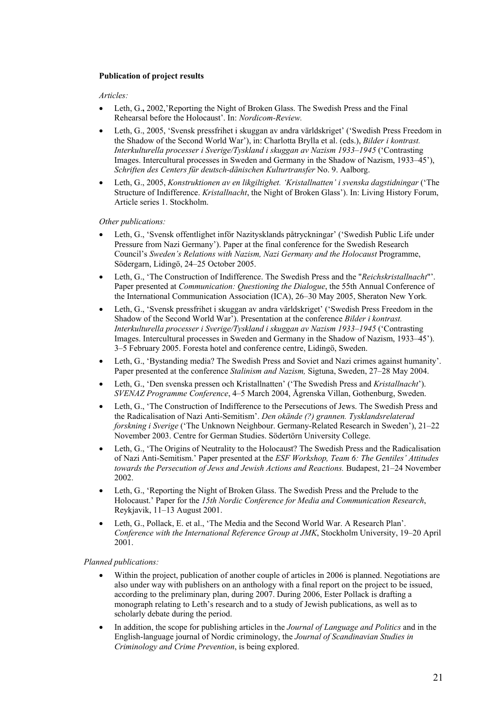#### **Publication of project results**

#### *Articles:*

- Leth, G., 2002,'Reporting the Night of Broken Glass. The Swedish Press and the Final Rehearsal before the Holocaust'. In: *Nordicom-Review.*
- Leth, G., 2005, 'Svensk pressfrihet i skuggan av andra världskriget' ('Swedish Press Freedom in the Shadow of the Second World War'), in: Charlotta Brylla et al. (eds.), *Bilder i kontrast. Interkulturella processer i Sverige/Tyskland i skuggan av Nazism 1933–1945* ('Contrasting Images. Intercultural processes in Sweden and Germany in the Shadow of Nazism, 1933–45'), *Schriften des Centers für deutsch-dänischen Kulturtransfer* No. 9. Aalborg.
- Leth, G., 2005, *Konstruktionen av en likgiltighet. 'Kristallnatten' i svenska dagstidningar* ('The Structure of Indifference. *Kristallnacht*, the Night of Broken Glass'). In: Living History Forum, Article series 1. Stockholm.

*Other publications:* 

- Leth, G., 'Svensk offentlighet inför Nazitysklands påtryckningar' ('Swedish Public Life under Pressure from Nazi Germany'). Paper at the final conference for the Swedish Research Council's *Sweden's Relations with Nazism, Nazi Germany and the Holocaust* Programme, Södergarn, Lidingö, 24–25 October 2005.
- Leth, G., 'The Construction of Indifference. The Swedish Press and the "*Reichskristallnacht*"'. Paper presented at *Communication: Questioning the Dialogue*, the 55th Annual Conference of the International Communication Association (ICA), 26–30 May 2005, Sheraton New York*.*
- Leth, G., 'Svensk pressfrihet i skuggan av andra världskriget' ('Swedish Press Freedom in the Shadow of the Second World War'). Presentation at the conference *Bilder i kontrast. Interkulturella processer i Sverige/Tyskland i skuggan av Nazism 1933–1945* ('Contrasting Images. Intercultural processes in Sweden and Germany in the Shadow of Nazism, 1933–45'). 3–5 February 2005. Foresta hotel and conference centre, Lidingö, Sweden.
- Leth, G., 'Bystanding media? The Swedish Press and Soviet and Nazi crimes against humanity'. Paper presented at the conference *Stalinism and Nazism,* Sigtuna, Sweden, 27–28 May 2004.
- Leth, G., 'Den svenska pressen och Kristallnatten' ('The Swedish Press and *Kristallnacht*'). *SVENAZ Programme Conference*, 4–5 March 2004, Ågrenska Villan, Gothenburg, Sweden.
- Leth, G., 'The Construction of Indifference to the Persecutions of Jews. The Swedish Press and the Radicalisation of Nazi Anti-Semitism'. *Den okände (?) grannen. Tysklandsrelaterad forskning i Sverige* ('The Unknown Neighbour. Germany-Related Research in Sweden'), 21–22 November 2003. Centre for German Studies. Södertörn University College.
- Leth, G., 'The Origins of Neutrality to the Holocaust? The Swedish Press and the Radicalisation of Nazi Anti-Semitism.' Paper presented at the *ESF Workshop, Team 6: The Gentiles' Attitudes towards the Persecution of Jews and Jewish Actions and Reactions.* Budapest, 21–24 November 2002.
- Leth, G., 'Reporting the Night of Broken Glass. The Swedish Press and the Prelude to the Holocaust.' Paper for the *15th Nordic Conference for Media and Communication Research*, Reykjavik, 11–13 August 2001.
- Leth, G., Pollack, E. et al., 'The Media and the Second World War. A Research Plan'. *Conference with the International Reference Group at JMK*, Stockholm University, 19–20 April 2001.

#### *Planned publications:*

- Within the project, publication of another couple of articles in 2006 is planned. Negotiations are also under way with publishers on an anthology with a final report on the project to be issued, according to the preliminary plan, during 2007. During 2006, Ester Pollack is drafting a monograph relating to Leth's research and to a study of Jewish publications, as well as to scholarly debate during the period.
- In addition, the scope for publishing articles in the *Journal of Language and Politics* and in the English-language journal of Nordic criminology, the *Journal of Scandinavian Studies in Criminology and Crime Prevention*, is being explored.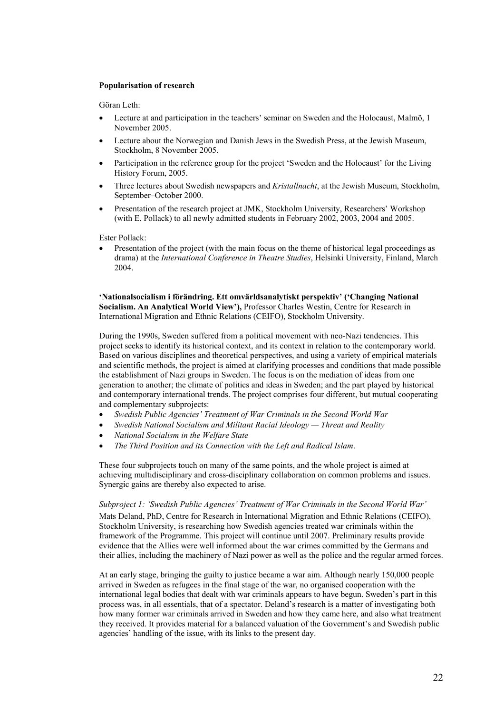#### **Popularisation of research**

Göran Leth:

- Lecture at and participation in the teachers' seminar on Sweden and the Holocaust, Malmö, 1 November 2005.
- Lecture about the Norwegian and Danish Jews in the Swedish Press, at the Jewish Museum, Stockholm, 8 November 2005.
- Participation in the reference group for the project 'Sweden and the Holocaust' for the Living History Forum, 2005.
- Three lectures about Swedish newspapers and *Kristallnacht*, at the Jewish Museum, Stockholm, September–October 2000.
- Presentation of the research project at JMK, Stockholm University, Researchers' Workshop (with E. Pollack) to all newly admitted students in February 2002, 2003, 2004 and 2005.

Ester Pollack:

• Presentation of the project (with the main focus on the theme of historical legal proceedings as drama) at the *International Conference in Theatre Studies*, Helsinki University, Finland, March 2004.

**'Nationalsocialism i förändring. Ett omvärldsanalytiskt perspektiv' ('Changing National Socialism. An Analytical World View'),** Professor Charles Westin, Centre for Research in International Migration and Ethnic Relations (CEIFO), Stockholm University.

During the 1990s, Sweden suffered from a political movement with neo-Nazi tendencies. This project seeks to identify its historical context, and its context in relation to the contemporary world. Based on various disciplines and theoretical perspectives, and using a variety of empirical materials and scientific methods, the project is aimed at clarifying processes and conditions that made possible the establishment of Nazi groups in Sweden. The focus is on the mediation of ideas from one generation to another; the climate of politics and ideas in Sweden; and the part played by historical and contemporary international trends. The project comprises four different, but mutual cooperating and complementary subprojects:

- *Swedish Public Agencies' Treatment of War Criminals in the Second World War*
- *Swedish National Socialism and Militant Racial Ideology Threat and Reality*
- *National Socialism in the Welfare State*
- *The Third Position and its Connection with the Left and Radical Islam*.

These four subprojects touch on many of the same points, and the whole project is aimed at achieving multidisciplinary and cross-disciplinary collaboration on common problems and issues. Synergic gains are thereby also expected to arise.

#### *Subproject 1: 'Swedish Public Agencies' Treatment of War Criminals in the Second World War'*

Mats Deland, PhD, Centre for Research in International Migration and Ethnic Relations (CEIFO), Stockholm University, is researching how Swedish agencies treated war criminals within the framework of the Programme. This project will continue until 2007. Preliminary results provide evidence that the Allies were well informed about the war crimes committed by the Germans and their allies, including the machinery of Nazi power as well as the police and the regular armed forces.

At an early stage, bringing the guilty to justice became a war aim. Although nearly 150,000 people arrived in Sweden as refugees in the final stage of the war, no organised cooperation with the international legal bodies that dealt with war criminals appears to have begun. Sweden's part in this process was, in all essentials, that of a spectator. Deland's research is a matter of investigating both how many former war criminals arrived in Sweden and how they came here, and also what treatment they received. It provides material for a balanced valuation of the Government's and Swedish public agencies' handling of the issue, with its links to the present day.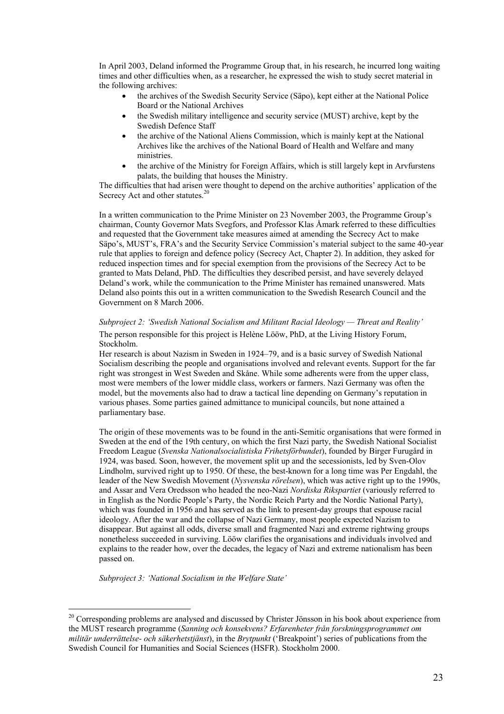In April 2003, Deland informed the Programme Group that, in his research, he incurred long waiting times and other difficulties when, as a researcher, he expressed the wish to study secret material in the following archives:

- the archives of the Swedish Security Service (Säpo), kept either at the National Police Board or the National Archives
- the Swedish military intelligence and security service (MUST) archive, kept by the Swedish Defence Staff
- the archive of the National Aliens Commission, which is mainly kept at the National Archives like the archives of the National Board of Health and Welfare and many ministries.
- the archive of the Ministry for Foreign Affairs, which is still largely kept in Arvfurstens palats, the building that houses the Ministry.

The difficulties that had arisen were thought to depend on the archive authorities' application of the Secrecy Act and other statutes.<sup>20</sup>

In a written communication to the Prime Minister on 23 November 2003, the Programme Group's chairman, County Governor Mats Svegfors, and Professor Klas Åmark referred to these difficulties and requested that the Government take measures aimed at amending the Secrecy Act to make Säpo's, MUST's, FRA's and the Security Service Commission's material subject to the same 40-year rule that applies to foreign and defence policy (Secrecy Act, Chapter 2). In addition, they asked for reduced inspection times and for special exemption from the provisions of the Secrecy Act to be granted to Mats Deland, PhD. The difficulties they described persist, and have severely delayed Deland's work, while the communication to the Prime Minister has remained unanswered. Mats Deland also points this out in a written communication to the Swedish Research Council and the Government on 8 March 2006.

*Subproject 2: 'Swedish National Socialism and Militant Racial Ideology — Threat and Reality'*  The person responsible for this project is Helène Lööw, PhD, at the Living History Forum, Stockholm.

Her research is about Nazism in Sweden in 1924–79, and is a basic survey of Swedish National Socialism describing the people and organisations involved and relevant events. Support for the far right was strongest in West Sweden and Skåne. While some adherents were from the upper class, most were members of the lower middle class, workers or farmers. Nazi Germany was often the model, but the movements also had to draw a tactical line depending on Germany's reputation in various phases. Some parties gained admittance to municipal councils, but none attained a parliamentary base.

The origin of these movements was to be found in the anti-Semitic organisations that were formed in Sweden at the end of the 19th century, on which the first Nazi party, the Swedish National Socialist Freedom League (*Svenska Nationalsocialistiska Frihetsförbundet*), founded by Birger Furugård in 1924, was based. Soon, however, the movement split up and the secessionists, led by Sven-Olov Lindholm, survived right up to 1950. Of these, the best-known for a long time was Per Engdahl, the leader of the New Swedish Movement (*Nysvenska rörelsen*), which was active right up to the 1990s, and Assar and Vera Oredsson who headed the neo-Nazi *Nordiska Rikspartiet* (variously referred to in English as the Nordic People's Party, the Nordic Reich Party and the Nordic National Party), which was founded in 1956 and has served as the link to present-day groups that espouse racial ideology. After the war and the collapse of Nazi Germany, most people expected Nazism to disappear. But against all odds, diverse small and fragmented Nazi and extreme rightwing groups nonetheless succeeded in surviving. Lööw clarifies the organisations and individuals involved and explains to the reader how, over the decades, the legacy of Nazi and extreme nationalism has been passed on.

*Subproject 3: 'National Socialism in the Welfare State'* 

 $20$  Corresponding problems are analysed and discussed by Christer Jönsson in his book about experience from the MUST research programme (*Sanning och konsekvens? Erfarenheter från forskningsprogrammet om militär underrättelse- och säkerhetstjänst*), in the *Brytpunkt* ('Breakpoint') series of publications from the Swedish Council for Humanities and Social Sciences (HSFR). Stockholm 2000.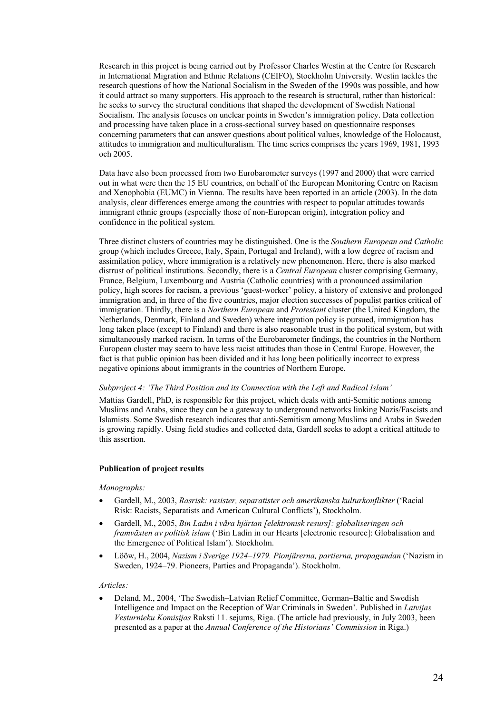Research in this project is being carried out by Professor Charles Westin at the Centre for Research in International Migration and Ethnic Relations (CEIFO), Stockholm University. Westin tackles the research questions of how the National Socialism in the Sweden of the 1990s was possible, and how it could attract so many supporters. His approach to the research is structural, rather than historical: he seeks to survey the structural conditions that shaped the development of Swedish National Socialism. The analysis focuses on unclear points in Sweden's immigration policy. Data collection and processing have taken place in a cross-sectional survey based on questionnaire responses concerning parameters that can answer questions about political values, knowledge of the Holocaust, attitudes to immigration and multiculturalism. The time series comprises the years 1969, 1981, 1993 och 2005.

Data have also been processed from two Eurobarometer surveys (1997 and 2000) that were carried out in what were then the 15 EU countries, on behalf of the European Monitoring Centre on Racism and Xenophobia (EUMC) in Vienna. The results have been reported in an article (2003). In the data analysis, clear differences emerge among the countries with respect to popular attitudes towards immigrant ethnic groups (especially those of non-European origin), integration policy and confidence in the political system.

Three distinct clusters of countries may be distinguished. One is the *Southern European and Catholic*  group (which includes Greece, Italy, Spain, Portugal and Ireland), with a low degree of racism and assimilation policy, where immigration is a relatively new phenomenon. Here, there is also marked distrust of political institutions. Secondly, there is a *Central European* cluster comprising Germany, France, Belgium, Luxembourg and Austria (Catholic countries) with a pronounced assimilation policy, high scores for racism, a previous 'guest-worker' policy, a history of extensive and prolonged immigration and, in three of the five countries, major election successes of populist parties critical of immigration. Thirdly, there is a *Northern European* and *Protestant* cluster (the United Kingdom, the Netherlands, Denmark, Finland and Sweden) where integration policy is pursued, immigration has long taken place (except to Finland) and there is also reasonable trust in the political system, but with simultaneously marked racism. In terms of the Eurobarometer findings, the countries in the Northern European cluster may seem to have less racist attitudes than those in Central Europe. However, the fact is that public opinion has been divided and it has long been politically incorrect to express negative opinions about immigrants in the countries of Northern Europe.

#### *Subproject 4: 'The Third Position and its Connection with the Left and Radical Islam'*

Mattias Gardell, PhD, is responsible for this project, which deals with anti-Semitic notions among Muslims and Arabs, since they can be a gateway to underground networks linking Nazis/Fascists and Islamists. Some Swedish research indicates that anti-Semitism among Muslims and Arabs in Sweden is growing rapidly. Using field studies and collected data, Gardell seeks to adopt a critical attitude to this assertion.

#### **Publication of project results**

#### *Monographs:*

- Gardell, M., 2003, *Rasrisk: rasister, separatister och amerikanska kulturkonflikter* ('Racial Risk: Racists, Separatists and American Cultural Conflicts'), Stockholm.
- Gardell, M., 2005, *Bin Ladin i våra hjärtan [elektronisk resurs]: globaliseringen och framväxten av politisk islam* ('Bin Ladin in our Hearts [electronic resource]: Globalisation and the Emergence of Political Islam'). Stockholm.
- Lööw, H., 2004, *Nazism i Sverige 1924–1979. Pionjärerna, partierna, propagandan* ('Nazism in Sweden, 1924–79. Pioneers, Parties and Propaganda'). Stockholm.

#### *Articles:*

• Deland, M., 2004, 'The Swedish–Latvian Relief Committee, German–Baltic and Swedish Intelligence and Impact on the Reception of War Criminals in Sweden'. Published in *Latvijas Vesturnieku Komisijas* Raksti 11. sejums, Riga. (The article had previously, in July 2003, been presented as a paper at the *Annual Conference of the Historians' Commission* in Riga.)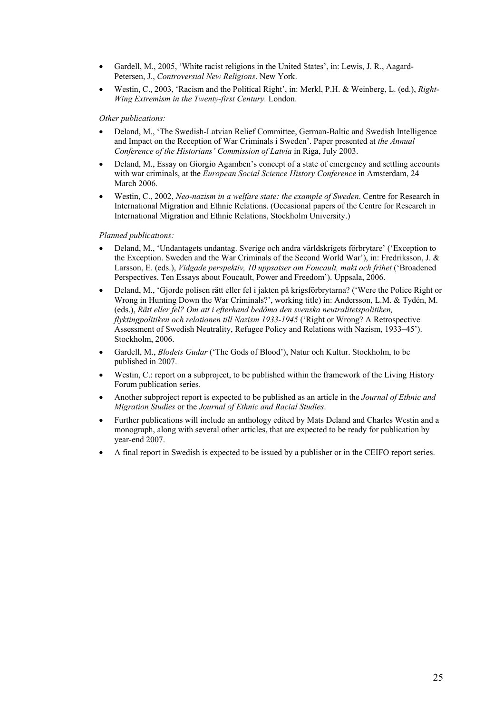- Gardell, M., 2005, 'White racist religions in the United States', in: Lewis, J. R., Aagard-Petersen, J., *Controversial New Religions*. New York.
- Westin, C., 2003, 'Racism and the Political Right', in: Merkl, P.H. & Weinberg, L. (ed.), *Right-Wing Extremism in the Twenty-first Century.* London.

#### *Other publications:*

- Deland, M., 'The Swedish-Latvian Relief Committee, German-Baltic and Swedish Intelligence and Impact on the Reception of War Criminals i Sweden'. Paper presented at *the Annual Conference of the Historians' Commission of Latvia* in Riga, July 2003.
- Deland, M., Essay on Giorgio Agamben's concept of a state of emergency and settling accounts with war criminals, at the *European Social Science History Conference* in Amsterdam, 24 March 2006.
- Westin, C., 2002, *Neo-nazism in a welfare state: the example of Sweden*. Centre for Research in International Migration and Ethnic Relations. (Occasional papers of the Centre for Research in International Migration and Ethnic Relations, Stockholm University.)

#### *Planned publications:*

- Deland, M., 'Undantagets undantag. Sverige och andra världskrigets förbrytare' ('Exception to the Exception. Sweden and the War Criminals of the Second World War'), in: Fredriksson, J. & Larsson, E. (eds.), *Vidgade perspektiv, 10 uppsatser om Foucault, makt och frihet* ('Broadened Perspectives. Ten Essays about Foucault, Power and Freedom'). Uppsala, 2006.
- Deland, M., 'Gjorde polisen rätt eller fel i jakten på krigsförbrytarna? ('Were the Police Right or Wrong in Hunting Down the War Criminals?', working title) in: Andersson, L.M. & Tydén, M. (eds.), *Rätt eller fel? Om att i efterhand bedöma den svenska neutralitetspolitiken, flyktingpolitiken och relationen till Nazism 1933-1945* ('Right or Wrong? A Retrospective Assessment of Swedish Neutrality, Refugee Policy and Relations with Nazism, 1933–45'). Stockholm, 2006.
- Gardell, M., *Blodets Gudar* ('The Gods of Blood'), Natur och Kultur. Stockholm, to be published in 2007.
- Westin, C.: report on a subproject, to be published within the framework of the Living History Forum publication series.
- Another subproject report is expected to be published as an article in the *Journal of Ethnic and Migration Studies* or the *Journal of Ethnic and Racial Studies*.
- Further publications will include an anthology edited by Mats Deland and Charles Westin and a monograph, along with several other articles, that are expected to be ready for publication by year-end 2007.
- A final report in Swedish is expected to be issued by a publisher or in the CEIFO report series.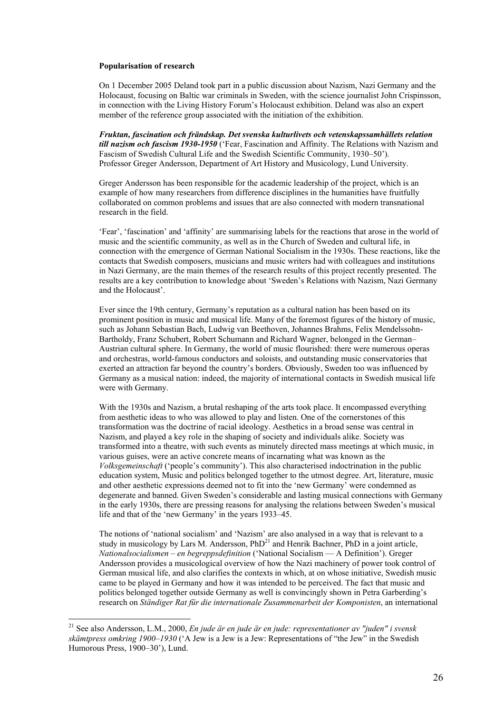#### **Popularisation of research**

On 1 December 2005 Deland took part in a public discussion about Nazism, Nazi Germany and the Holocaust, focusing on Baltic war criminals in Sweden, with the science journalist John Crispinsson, in connection with the Living History Forum's Holocaust exhibition. Deland was also an expert member of the reference group associated with the initiation of the exhibition.

*Fruktan, fascination och frändskap. Det svenska kulturlivets och vetenskapssamhällets relation till nazism och fascism 1930-1950* ('Fear, Fascination and Affinity. The Relations with Nazism and Fascism of Swedish Cultural Life and the Swedish Scientific Community, 1930–50'). Professor Greger Andersson, Department of Art History and Musicology, Lund University.

Greger Andersson has been responsible for the academic leadership of the project, which is an example of how many researchers from difference disciplines in the humanities have fruitfully collaborated on common problems and issues that are also connected with modern transnational research in the field.

'Fear', 'fascination' and 'affinity' are summarising labels for the reactions that arose in the world of music and the scientific community, as well as in the Church of Sweden and cultural life, in connection with the emergence of German National Socialism in the 1930s. These reactions, like the contacts that Swedish composers, musicians and music writers had with colleagues and institutions in Nazi Germany, are the main themes of the research results of this project recently presented. The results are a key contribution to knowledge about 'Sweden's Relations with Nazism, Nazi Germany and the Holocaust'.

Ever since the 19th century, Germany's reputation as a cultural nation has been based on its prominent position in music and musical life. Many of the foremost figures of the history of music, such as Johann Sebastian Bach, Ludwig van Beethoven, Johannes Brahms, Felix Mendelssohn-Bartholdy, Franz Schubert, Robert Schumann and Richard Wagner, belonged in the German– Austrian cultural sphere. In Germany, the world of music flourished: there were numerous operas and orchestras, world-famous conductors and soloists, and outstanding music conservatories that exerted an attraction far beyond the country's borders. Obviously, Sweden too was influenced by Germany as a musical nation: indeed, the majority of international contacts in Swedish musical life were with Germany.

With the 1930s and Nazism, a brutal reshaping of the arts took place. It encompassed everything from aesthetic ideas to who was allowed to play and listen. One of the cornerstones of this transformation was the doctrine of racial ideology. Aesthetics in a broad sense was central in Nazism, and played a key role in the shaping of society and individuals alike. Society was transformed into a theatre, with such events as minutely directed mass meetings at which music, in various guises, were an active concrete means of incarnating what was known as the *Volksgemeinschaft* ('people's community'). This also characterised indoctrination in the public education system, Music and politics belonged together to the utmost degree. Art, literature, music and other aesthetic expressions deemed not to fit into the 'new Germany' were condemned as degenerate and banned. Given Sweden's considerable and lasting musical connections with Germany in the early 1930s, there are pressing reasons for analysing the relations between Sweden's musical life and that of the 'new Germany' in the years 1933–45.

The notions of 'national socialism' and 'Nazism' are also analysed in a way that is relevant to a study in musicology by Lars M. Andersson,  $PhD<sup>21</sup>$  and Henrik Bachner, PhD in a joint article, *Nationalsocialismen – en begreppsdefinition* ('National Socialism — A Definition'). Greger Andersson provides a musicological overview of how the Nazi machinery of power took control of German musical life, and also clarifies the contexts in which, at on whose initiative, Swedish music came to be played in Germany and how it was intended to be perceived. The fact that music and politics belonged together outside Germany as well is convincingly shown in Petra Garberding's research on *Ständiger Rat für die internationale Zusammenarbeit der Komponisten*, an international

<sup>21</sup> See also Andersson, L.M., 2000, *En jude är en jude är en jude: representationer av "juden" i svensk skämtpress omkring 1900–1930* ('A Jew is a Jew is a Jew: Representations of "the Jew" in the Swedish Humorous Press, 1900–30'), Lund.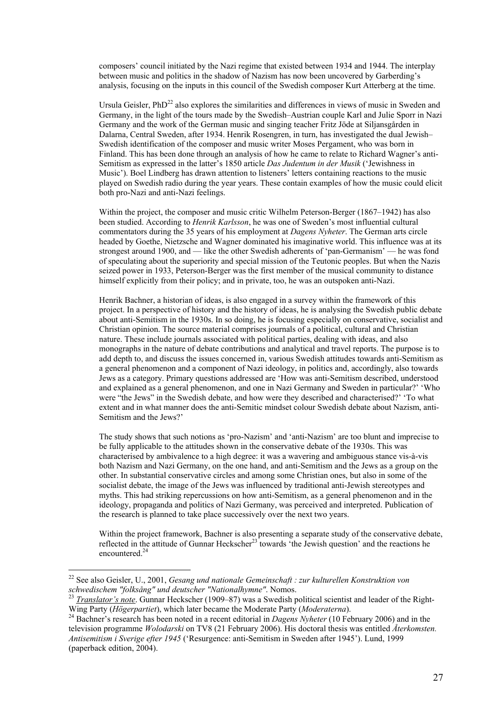composers' council initiated by the Nazi regime that existed between 1934 and 1944. The interplay between music and politics in the shadow of Nazism has now been uncovered by Garberding's analysis, focusing on the inputs in this council of the Swedish composer Kurt Atterberg at the time.

Ursula Geisler, PhD<sup>22</sup> also explores the similarities and differences in views of music in Sweden and Germany, in the light of the tours made by the Swedish–Austrian couple Karl and Julie Sporr in Nazi Germany and the work of the German music and singing teacher Fritz Jöde at Siljansgården in Dalarna, Central Sweden, after 1934. Henrik Rosengren, in turn, has investigated the dual Jewish– Swedish identification of the composer and music writer Moses Pergament, who was born in Finland. This has been done through an analysis of how he came to relate to Richard Wagner's anti-Semitism as expressed in the latter's 1850 article *Das Judentum in der Musik* ('Jewishness in Music'). Boel Lindberg has drawn attention to listeners' letters containing reactions to the music played on Swedish radio during the year years. These contain examples of how the music could elicit both pro-Nazi and anti-Nazi feelings.

Within the project, the composer and music critic Wilhelm Peterson-Berger (1867–1942) has also been studied. According to *Henrik Karlsson*, he was one of Sweden's most influential cultural commentators during the 35 years of his employment at *Dagens Nyheter*. The German arts circle headed by Goethe, Nietzsche and Wagner dominated his imaginative world. This influence was at its strongest around 1900, and — like the other Swedish adherents of 'pan-Germanism' — he was fond of speculating about the superiority and special mission of the Teutonic peoples. But when the Nazis seized power in 1933, Peterson-Berger was the first member of the musical community to distance himself explicitly from their policy; and in private, too, he was an outspoken anti-Nazi.

Henrik Bachner, a historian of ideas, is also engaged in a survey within the framework of this project. In a perspective of history and the history of ideas, he is analysing the Swedish public debate about anti-Semitism in the 1930s. In so doing, he is focusing especially on conservative, socialist and Christian opinion. The source material comprises journals of a political, cultural and Christian nature. These include journals associated with political parties, dealing with ideas, and also monographs in the nature of debate contributions and analytical and travel reports. The purpose is to add depth to, and discuss the issues concerned in, various Swedish attitudes towards anti-Semitism as a general phenomenon and a component of Nazi ideology, in politics and, accordingly, also towards Jews as a category. Primary questions addressed are 'How was anti-Semitism described, understood and explained as a general phenomenon, and one in Nazi Germany and Sweden in particular?' 'Who were "the Jews" in the Swedish debate, and how were they described and characterised?' 'To what extent and in what manner does the anti-Semitic mindset colour Swedish debate about Nazism, anti-Semitism and the Jews?'

The study shows that such notions as 'pro-Nazism' and 'anti-Nazism' are too blunt and imprecise to be fully applicable to the attitudes shown in the conservative debate of the 1930s. This was characterised by ambivalence to a high degree: it was a wavering and ambiguous stance vis-à-vis both Nazism and Nazi Germany, on the one hand, and anti-Semitism and the Jews as a group on the other. In substantial conservative circles and among some Christian ones, but also in some of the socialist debate, the image of the Jews was influenced by traditional anti-Jewish stereotypes and myths. This had striking repercussions on how anti-Semitism, as a general phenomenon and in the ideology, propaganda and politics of Nazi Germany, was perceived and interpreted. Publication of the research is planned to take place successively over the next two years.

Within the project framework. Bachner is also presenting a separate study of the conservative debate, reflected in the attitude of Gunnar Heckscher<sup>23</sup> towards 'the Jewish question' and the reactions he encountered.<sup>24</sup>

<sup>22</sup> See also Geisler, U., 2001, *Gesang und nationale Gemeinschaft : zur kulturellen Konstruktion von* 

*schwedischem "folksång" und deutscher "Nationalhymne"*. Nomos.<br><sup>23</sup> *Translator's note*. Gunnar Heckscher (1909–87) was a Swedish political scientist and leader of the Right-<br>Wing Party (*Högerpartiet*). which later becam

<sup>&</sup>lt;sup>24</sup> Bachner's research has been noted in a recent editorial in *Dagens Nyheter* (10 February 2006) and in the television programme *Wolodarski* on TV8 (21 February 2006). His doctoral thesis was entitled *Återkomsten. Antisemitism i Sverige efter 1945* ('Resurgence: anti-Semitism in Sweden after 1945'). Lund, 1999 (paperback edition, 2004).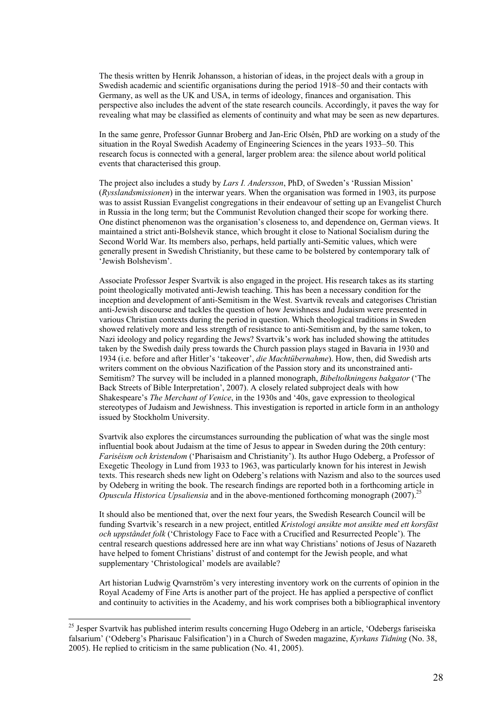The thesis written by Henrik Johansson, a historian of ideas, in the project deals with a group in Swedish academic and scientific organisations during the period 1918–50 and their contacts with Germany, as well as the UK and USA, in terms of ideology, finances and organisation. This perspective also includes the advent of the state research councils. Accordingly, it paves the way for revealing what may be classified as elements of continuity and what may be seen as new departures.

In the same genre, Professor Gunnar Broberg and Jan-Eric Olsén, PhD are working on a study of the situation in the Royal Swedish Academy of Engineering Sciences in the years 1933–50. This research focus is connected with a general, larger problem area: the silence about world political events that characterised this group.

The project also includes a study by *Lars I. Andersson*, PhD, of Sweden's 'Russian Mission' (*Rysslandsmissionen*) in the interwar years. When the organisation was formed in 1903, its purpose was to assist Russian Evangelist congregations in their endeavour of setting up an Evangelist Church in Russia in the long term; but the Communist Revolution changed their scope for working there. One distinct phenomenon was the organisation's closeness to, and dependence on, German views. It maintained a strict anti-Bolshevik stance, which brought it close to National Socialism during the Second World War. Its members also, perhaps, held partially anti-Semitic values, which were generally present in Swedish Christianity, but these came to be bolstered by contemporary talk of 'Jewish Bolshevism'.

Associate Professor Jesper Svartvik is also engaged in the project. His research takes as its starting point theologically motivated anti-Jewish teaching. This has been a necessary condition for the inception and development of anti-Semitism in the West. Svartvik reveals and categorises Christian anti-Jewish discourse and tackles the question of how Jewishness and Judaism were presented in various Christian contexts during the period in question. Which theological traditions in Sweden showed relatively more and less strength of resistance to anti-Semitism and, by the same token, to Nazi ideology and policy regarding the Jews? Svartvik's work has included showing the attitudes taken by the Swedish daily press towards the Church passion plays staged in Bavaria in 1930 and 1934 (i.e. before and after Hitler's 'takeover', *die Machtübernahme*). How, then, did Swedish arts writers comment on the obvious Nazification of the Passion story and its unconstrained anti-Semitism? The survey will be included in a planned monograph, *Bibeltolkningens bakgator* ('The Back Streets of Bible Interpretation', 2007). A closely related subproject deals with how Shakespeare's *The Merchant of Venice*, in the 1930s and '40s, gave expression to theological stereotypes of Judaism and Jewishness. This investigation is reported in article form in an anthology issued by Stockholm University.

Svartvik also explores the circumstances surrounding the publication of what was the single most influential book about Judaism at the time of Jesus to appear in Sweden during the 20th century: *Fariséism och kristendom* ('Pharisaism and Christianity'). Its author Hugo Odeberg, a Professor of Exegetic Theology in Lund from 1933 to 1963, was particularly known for his interest in Jewish texts. This research sheds new light on Odeberg's relations with Nazism and also to the sources used by Odeberg in writing the book. The research findings are reported both in a forthcoming article in *Opuscula Historica Upsaliensia* and in the above-mentioned forthcoming monograph (2007).<sup>25</sup>

It should also be mentioned that, over the next four years, the Swedish Research Council will be funding Svartvik's research in a new project, entitled *Kristologi ansikte mot ansikte med ett korsfäst och uppståndet folk* ('Christology Face to Face with a Crucified and Resurrected People'). The central research questions addressed here are inn what way Christians' notions of Jesus of Nazareth have helped to foment Christians' distrust of and contempt for the Jewish people, and what supplementary 'Christological' models are available?

Art historian Ludwig Qvarnström's very interesting inventory work on the currents of opinion in the Royal Academy of Fine Arts is another part of the project. He has applied a perspective of conflict and continuity to activities in the Academy, and his work comprises both a bibliographical inventory

<sup>&</sup>lt;sup>25</sup> Jesper Svartvik has published interim results concerning Hugo Odeberg in an article, 'Odebergs fariseiska falsarium' ('Odeberg's Pharisauc Falsification') in a Church of Sweden magazine, *Kyrkans Tidning* (No. 38, 2005). He replied to criticism in the same publication (No. 41, 2005).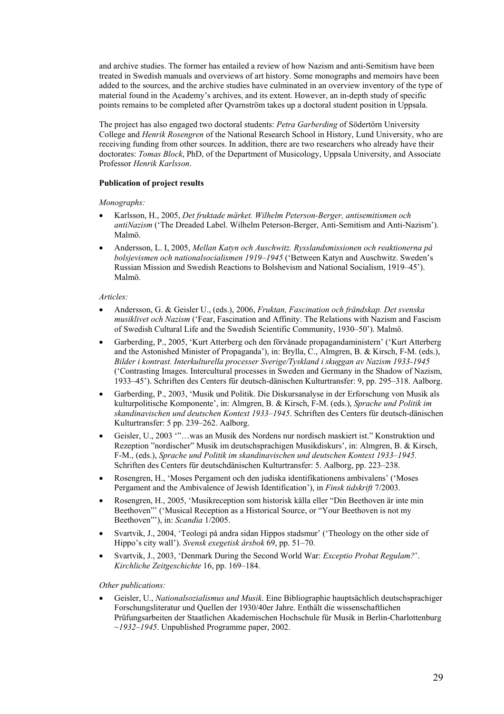and archive studies. The former has entailed a review of how Nazism and anti-Semitism have been treated in Swedish manuals and overviews of art history. Some monographs and memoirs have been added to the sources, and the archive studies have culminated in an overview inventory of the type of material found in the Academy's archives, and its extent. However, an in-depth study of specific points remains to be completed after Qvarnström takes up a doctoral student position in Uppsala.

The project has also engaged two doctoral students: *Petra Garberding* of Södertörn University College and *Henrik Rosengren* of the National Research School in History, Lund University, who are receiving funding from other sources. In addition, there are two researchers who already have their doctorates: *Tomas Block*, PhD, of the Department of Musicology, Uppsala University, and Associate Professor *Henrik Karlsson*.

#### **Publication of project results**

*Monographs:* 

- Karlsson, H., 2005, *Det fruktade märket. Wilhelm Peterson-Berger, antisemitismen och antiNazism* ('The Dreaded Label. Wilhelm Peterson-Berger, Anti-Semitism and Anti-Nazism'). Malmö.
- Andersson, L. I, 2005, *Mellan Katyn och Auschwitz. Rysslandsmissionen och reaktionerna på bolsjevismen och nationalsocialismen 1919–1945* ('Between Katyn and Auschwitz. Sweden's Russian Mission and Swedish Reactions to Bolshevism and National Socialism, 1919–45'). Malmö.

#### *Articles:*

- Andersson, G. & Geisler U., (eds.), 2006, *Fruktan, Fascination och frändskap. Det svenska musiklivet och Nazism* ('Fear, Fascination and Affinity. The Relations with Nazism and Fascism of Swedish Cultural Life and the Swedish Scientific Community, 1930–50'). Malmö.
- Garberding, P., 2005, 'Kurt Atterberg och den förvånade propagandaministern' ('Kurt Atterberg and the Astonished Minister of Propaganda'), in: Brylla, C., Almgren, B. & Kirsch, F-M. (eds.), *Bilder i kontrast. Interkulturella processer Sverige/Tyskland i skuggan av Nazism 1933-1945*  ('Contrasting Images. Intercultural processes in Sweden and Germany in the Shadow of Nazism, 1933–45'). Schriften des Centers für deutsch-dänischen Kulturtransfer: 9, pp. 295–318. Aalborg.
- Garberding, P., 2003, 'Musik und Politik. Die Diskursanalyse in der Erforschung von Musik als kulturpolitische Komponente', in: Almgren, B. & Kirsch, F-M. (eds.), *Sprache und Politik im skandinavischen und deutschen Kontext 1933–1945*. Schriften des Centers für deutsch-dänischen Kulturtransfer: 5 pp. 239–262. Aalborg.
- Geisler, U., 2003 '"…was an Musik des Nordens nur nordisch maskiert ist." Konstruktion und Rezeption "nordischer" Musik im deutschsprachigen Musikdiskurs', in: Almgren, B. & Kirsch, F-M., (eds.), *Sprache und Politik im skandinavischen und deutschen Kontext 1933–1945.*  Schriften des Centers für deutschdänischen Kulturtransfer: 5. Aalborg, pp. 223–238.
- Rosengren, H., 'Moses Pergament och den judiska identifikationens ambivalens' ('Moses Pergament and the Ambivalence of Jewish Identification'), in *Finsk tidskrift* 7/2003.
- Rosengren, H., 2005, 'Musikreception som historisk källa eller "Din Beethoven är inte min Beethoven"' ('Musical Reception as a Historical Source, or "Your Beethoven is not my Beethoven"'), in: *Scandia* 1/2005.
- Svartvik, J., 2004, 'Teologi på andra sidan Hippos stadsmur' ('Theology on the other side of Hippo's city wall'). *Svensk exegetisk årsbok* 69, pp. 51–70.
- Svartvik, J., 2003, 'Denmark During the Second World War: *Exceptio Probat Regulam?*'. *Kirchliche Zeitgeschichte* 16, pp. 169–184.

#### *Other publications:*

• Geisler, U., *Nationalsozialismus und Musik*. Eine Bibliographie hauptsächlich deutschsprachiger Forschungsliteratur und Quellen der 1930/40er Jahre. Enthält die wissenschaftlichen Prüfungsarbeiten der Staatlichen Akademischen Hochschule für Musik in Berlin-Charlottenburg ~*1932–1945*. Unpublished Programme paper, 2002.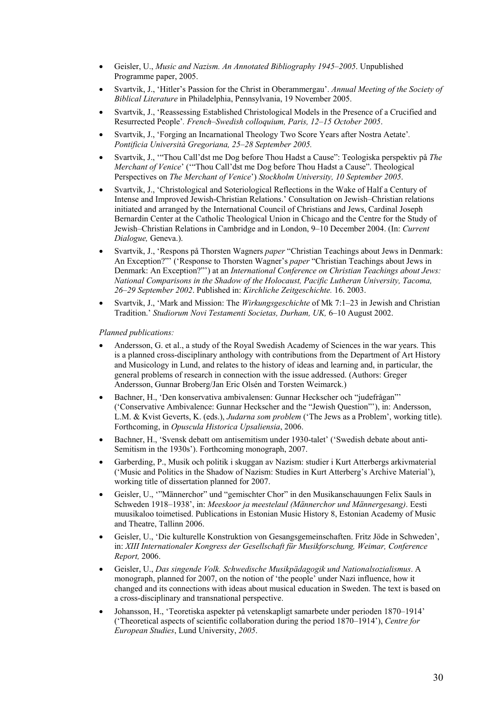- Geisler, U., *Music and Nazism. An Annotated Bibliography 1945–2005*. Unpublished Programme paper, 2005.
- Svartvik, J., 'Hitler's Passion for the Christ in Oberammergau'. *Annual Meeting of the Society of Biblical Literature* in Philadelphia, Pennsylvania, 19 November 2005.
- Svartvik, J., 'Reassessing Established Christological Models in the Presence of a Crucified and Resurrected People'*. French–Swedish colloquium, Paris, 12–15 October 2005*.
- Svartvik, J., 'Forging an Incarnational Theology Two Score Years after Nostra Aetate'*. Pontificia Università Gregoriana, 25–28 September 2005.*
- Svartvik, J., '"Thou Call'dst me Dog before Thou Hadst a Cause": Teologiska perspektiv på *The Merchant of Venice*' ('"Thou Call'dst me Dog before Thou Hadst a Cause". Theological Perspectives on *The Merchant of Venice*') *Stockholm University, 10 September 2005*.
- Svartvik, J., 'Christological and Soteriological Reflections in the Wake of Half a Century of Intense and Improved Jewish-Christian Relations.' Consultation on Jewish–Christian relations initiated and arranged by the International Council of Christians and Jews, Cardinal Joseph Bernardin Center at the Catholic Theological Union in Chicago and the Centre for the Study of Jewish–Christian Relations in Cambridge and in London, 9–10 December 2004. (In: *Current Dialogue,* Geneva.).
- Svartvik, J., 'Respons på Thorsten Wagners *paper* "Christian Teachings about Jews in Denmark: An Exception?"' ('Response to Thorsten Wagner's *paper* "Christian Teachings about Jews in Denmark: An Exception?"') at an *International Conference on Christian Teachings about Jews: National Comparisons in the Shadow of the Holocaust, Pacific Lutheran University, Tacoma, 26–29 September 2002*. Published in: *Kirchliche Zeitgeschichte.* 16. 2003.
- Svartvik, J., 'Mark and Mission: The *Wirkungsgeschichte* of Mk 7:1–23 in Jewish and Christian Tradition.' *Studiorum Novi Testamenti Societas, Durham, UK,* 6–10 August 2002.

#### *Planned publications:*

- Andersson, G. et al., a study of the Royal Swedish Academy of Sciences in the war years. This is a planned cross-disciplinary anthology with contributions from the Department of Art History and Musicology in Lund, and relates to the history of ideas and learning and, in particular, the general problems of research in connection with the issue addressed. (Authors: Greger Andersson, Gunnar Broberg/Jan Eric Olsén and Torsten Weimarck.)
- Bachner, H., 'Den konservativa ambivalensen: Gunnar Heckscher och "judefrågan"' ('Conservative Ambivalence: Gunnar Heckscher and the "Jewish Question"'), in: Andersson, L.M. & Kvist Geverts, K. (eds.), *Judarna som problem* ('The Jews as a Problem', working title). Forthcoming, in *Opuscula Historica Upsaliensia*, 2006.
- Bachner, H., 'Svensk debatt om antisemitism under 1930-talet' ('Swedish debate about anti-Semitism in the 1930s'). Forthcoming monograph, 2007.
- Garberding, P., Musik och politik i skuggan av Nazism: studier i Kurt Atterbergs arkivmaterial ('Music and Politics in the Shadow of Nazism: Studies in Kurt Atterberg's Archive Material'), working title of dissertation planned for 2007.
- Geisler, U., '"Männerchor" und "gemischter Chor" in den Musikanschauungen Felix Sauls in Schweden 1918–1938', in: *Meeskoor ja meestelaul (Männerchor und Männergesang)*. Eesti muusikaloo toimetised. Publications in Estonian Music History 8, Estonian Academy of Music and Theatre, Tallinn 2006.
- Geisler, U., 'Die kulturelle Konstruktion von Gesangsgemeinschaften. Fritz Jöde in Schweden', in: *XIII Internationaler Kongress der Gesellschaft für Musikforschung, Weimar, Conference Report,* 2006.
- Geisler, U., *Das singende Volk. Schwedische Musikpädagogik und Nationalsozialismus*. A monograph, planned for 2007, on the notion of 'the people' under Nazi influence, how it changed and its connections with ideas about musical education in Sweden. The text is based on a cross-disciplinary and transnational perspective.
- Johansson, H., 'Teoretiska aspekter på vetenskapligt samarbete under perioden 1870–1914' ('Theoretical aspects of scientific collaboration during the period 1870–1914'), *Centre for European Studies*, Lund University, *2005*.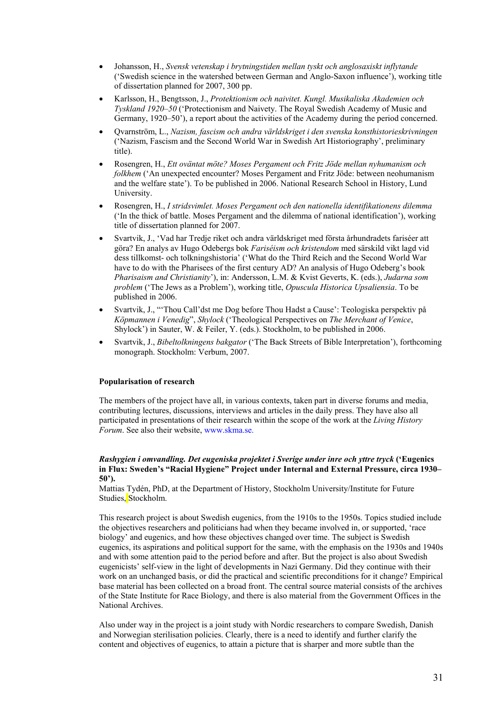- Johansson, H., *Svensk vetenskap i brytningstiden mellan tyskt och anglosaxiskt inflytande*  ('Swedish science in the watershed between German and Anglo-Saxon influence'), working title of dissertation planned for 2007, 300 pp.
- Karlsson, H., Bengtsson, J., *Protektionism och naivitet. Kungl. Musikaliska Akademien och Tyskland 1920*–*50* ('Protectionism and Naivety. The Royal Swedish Academy of Music and Germany, 1920–50'), a report about the activities of the Academy during the period concerned.
- Qvarnström, L., *Nazism, fascism och andra världskriget i den svenska konsthistorieskrivningen* ('Nazism, Fascism and the Second World War in Swedish Art Historiography', preliminary title).
- Rosengren, H., *Ett oväntat möte? Moses Pergament och Fritz Jöde mellan nyhumanism och folkhem* ('An unexpected encounter? Moses Pergament and Fritz Jöde: between neohumanism and the welfare state'). To be published in 2006. National Research School in History, Lund University.
- Rosengren, H., *I stridsvimlet. Moses Pergament och den nationella identifikationens dilemma*  ('In the thick of battle. Moses Pergament and the dilemma of national identification'), working title of dissertation planned for 2007.
- Svartvik, J., 'Vad har Tredje riket och andra världskriget med första århundradets fariséer att göra? En analys av Hugo Odebergs bok *Fariséism och kristendom* med särskild vikt lagd vid dess tillkomst- och tolkningshistoria' ('What do the Third Reich and the Second World War have to do with the Pharisees of the first century AD? An analysis of Hugo Odeberg's book *Pharisaism and Christianity*'), in: Andersson, L.M. & Kvist Geverts, K. (eds.), *Judarna som problem* ('The Jews as a Problem'), working title, *Opuscula Historica Upsaliensia*. To be published in 2006.
- Svartvik, J., "'Thou Call'dst me Dog before Thou Hadst a Cause': Teologiska perspektiv på *Köpmannen i Venedig*", *Shylock* ('Theological Perspectives on *The Merchant of Venice*, Shylock') in Sauter, W. & Feiler, Y. (eds.). Stockholm, to be published in 2006.
- Svartvik, J., *Bibeltolkningens bakgator* ('The Back Streets of Bible Interpretation'), forthcoming monograph. Stockholm: Verbum, 2007.

#### **Popularisation of research**

The members of the project have all, in various contexts, taken part in diverse forums and media, contributing lectures, discussions, interviews and articles in the daily press. They have also all participated in presentations of their research within the scope of the work at the *Living History Forum*. See also their website, www.skma.se.

#### *Rashygien i omvandling. Det eugeniska projektet i Sverige under inre och yttre tryck* **('Eugenics in Flux: Sweden's "Racial Hygiene" Project under Internal and External Pressure, circa 1930– 50').**

Mattias Tydén, PhD, at the Department of History, Stockholm University/Institute for Future Studies, Stockholm.

This research project is about Swedish eugenics, from the 1910s to the 1950s. Topics studied include the objectives researchers and politicians had when they became involved in, or supported, 'race biology' and eugenics, and how these objectives changed over time. The subject is Swedish eugenics, its aspirations and political support for the same, with the emphasis on the 1930s and 1940s and with some attention paid to the period before and after. But the project is also about Swedish eugenicists' self-view in the light of developments in Nazi Germany. Did they continue with their work on an unchanged basis, or did the practical and scientific preconditions for it change? Empirical base material has been collected on a broad front. The central source material consists of the archives of the State Institute for Race Biology, and there is also material from the Government Offices in the National Archives.

Also under way in the project is a joint study with Nordic researchers to compare Swedish, Danish and Norwegian sterilisation policies. Clearly, there is a need to identify and further clarify the content and objectives of eugenics, to attain a picture that is sharper and more subtle than the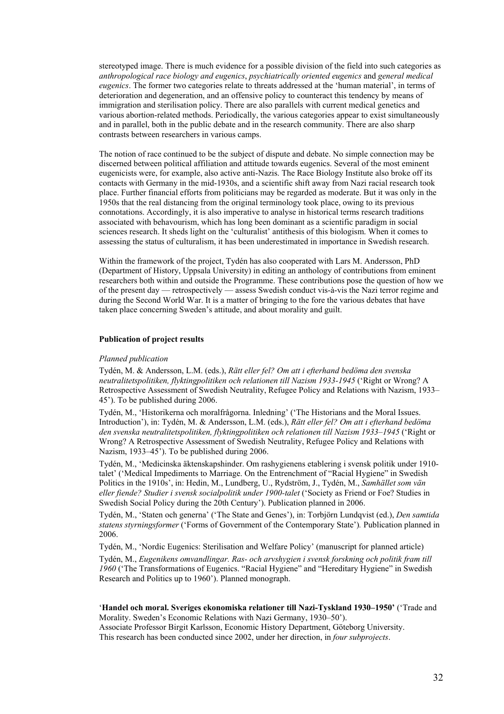stereotyped image. There is much evidence for a possible division of the field into such categories as *anthropological race biology and eugenics*, *psychiatrically oriented eugenics* and *general medical eugenics*. The former two categories relate to threats addressed at the 'human material', in terms of deterioration and degeneration, and an offensive policy to counteract this tendency by means of immigration and sterilisation policy. There are also parallels with current medical genetics and various abortion-related methods. Periodically, the various categories appear to exist simultaneously and in parallel, both in the public debate and in the research community. There are also sharp contrasts between researchers in various camps.

The notion of race continued to be the subject of dispute and debate. No simple connection may be discerned between political affiliation and attitude towards eugenics. Several of the most eminent eugenicists were, for example, also active anti-Nazis. The Race Biology Institute also broke off its contacts with Germany in the mid-1930s, and a scientific shift away from Nazi racial research took place. Further financial efforts from politicians may be regarded as moderate. But it was only in the 1950s that the real distancing from the original terminology took place, owing to its previous connotations. Accordingly, it is also imperative to analyse in historical terms research traditions associated with behavourism, which has long been dominant as a scientific paradigm in social sciences research. It sheds light on the 'culturalist' antithesis of this biologism. When it comes to assessing the status of culturalism, it has been underestimated in importance in Swedish research.

Within the framework of the project, Tydén has also cooperated with Lars M. Andersson, PhD (Department of History, Uppsala University) in editing an anthology of contributions from eminent researchers both within and outside the Programme. These contributions pose the question of how we of the present day — retrospectively — assess Swedish conduct vis-à-vis the Nazi terror regime and during the Second World War. It is a matter of bringing to the fore the various debates that have taken place concerning Sweden's attitude, and about morality and guilt.

#### **Publication of project results**

#### *Planned publication*

Tydén, M. & Andersson, L.M. (eds.), *Rätt eller fel? Om att i efterhand bedöma den svenska neutralitetspolitiken, flyktingpolitiken och relationen till Nazism 1933-1945* ('Right or Wrong? A Retrospective Assessment of Swedish Neutrality, Refugee Policy and Relations with Nazism, 1933– 45'). To be published during 2006.

Tydén, M., 'Historikerna och moralfrågorna. Inledning' ('The Historians and the Moral Issues. Introduction'), in: Tydén, M. & Andersson, L.M. (eds.), *Rätt eller fel? Om att i efterhand bedöma den svenska neutralitetspolitiken, flyktingpolitiken och relationen till Nazism 1933–1945* ('Right or Wrong? A Retrospective Assessment of Swedish Neutrality, Refugee Policy and Relations with Nazism, 1933–45'). To be published during 2006.

Tydén, M., 'Medicinska äktenskapshinder. Om rashygienens etablering i svensk politik under 1910 talet' ('Medical Impediments to Marriage. On the Entrenchment of "Racial Hygiene" in Swedish Politics in the 1910s', in: Hedin, M., Lundberg, U., Rydström, J., Tydén, M., *Samhället som vän eller fiende? Studier i svensk socialpolitik under 1900-talet* ('Society as Friend or Foe? Studies in Swedish Social Policy during the 20th Century'). Publication planned in 2006.

Tydén, M., 'Staten och generna' ('The State and Genes'), in: Torbjörn Lundqvist (ed.), *Den samtida statens styrningsformer* ('Forms of Government of the Contemporary State')*.* Publication planned in 2006.

Tydén, M., 'Nordic Eugenics: Sterilisation and Welfare Policy' (manuscript for planned article)

Tydén, M., *Eugenikens omvandlingar. Ras- och arvshygien i svensk forskning och politik fram till 1960* ('The Transformations of Eugenics. "Racial Hygiene" and "Hereditary Hygiene" in Swedish Research and Politics up to 1960'). Planned monograph.

#### '**Handel och moral. Sveriges ekonomiska relationer till Nazi-Tyskland 1930–1950'** ('Trade and Morality. Sweden's Economic Relations with Nazi Germany, 1930–50').

Associate Professor Birgit Karlsson, Economic History Department, Göteborg University. This research has been conducted since 2002, under her direction, in *four subprojects*.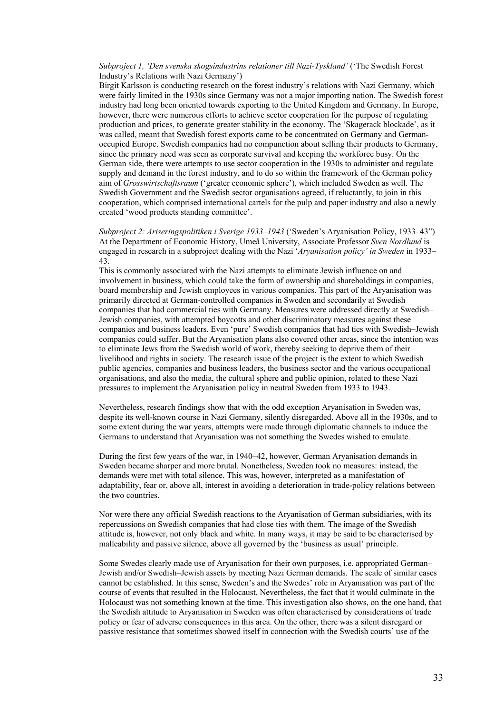*Subproject 1, 'Den svenska skogsindustrins relationer till Nazi-Tyskland'* ('The Swedish Forest Industry's Relations with Nazi Germany')

Birgit Karlsson is conducting research on the forest industry's relations with Nazi Germany, which were fairly limited in the 1930s since Germany was not a major importing nation. The Swedish forest industry had long been oriented towards exporting to the United Kingdom and Germany. In Europe, however, there were numerous efforts to achieve sector cooperation for the purpose of regulating production and prices, to generate greater stability in the economy. The 'Skagerack blockade', as it was called, meant that Swedish forest exports came to be concentrated on Germany and Germanoccupied Europe. Swedish companies had no compunction about selling their products to Germany, since the primary need was seen as corporate survival and keeping the workforce busy. On the German side, there were attempts to use sector cooperation in the 1930s to administer and regulate supply and demand in the forest industry, and to do so within the framework of the German policy aim of *Grosswirtschaftsraum* ('greater economic sphere'), which included Sweden as well. The Swedish Government and the Swedish sector organisations agreed, if reluctantly, to join in this cooperation, which comprised international cartels for the pulp and paper industry and also a newly created 'wood products standing committee'.

*Subproject 2: Ariseringspolitiken i Sverige 1933–1943* ('Sweden's Aryanisation Policy, 1933–43") At the Department of Economic History, Umeå University, Associate Professor *Sven Nordlund* is engaged in research in a subproject dealing with the Nazi '*Aryanisation policy' in Sweden* in 1933– 43.

This is commonly associated with the Nazi attempts to eliminate Jewish influence on and involvement in business, which could take the form of ownership and shareholdings in companies, board membership and Jewish employees in various companies. This part of the Aryanisation was primarily directed at German-controlled companies in Sweden and secondarily at Swedish companies that had commercial ties with Germany. Measures were addressed directly at Swedish– Jewish companies, with attempted boycotts and other discriminatory measures against these companies and business leaders. Even 'pure' Swedish companies that had ties with Swedish–Jewish companies could suffer. But the Aryanisation plans also covered other areas, since the intention was to eliminate Jews from the Swedish world of work, thereby seeking to deprive them of their livelihood and rights in society. The research issue of the project is the extent to which Swedish public agencies, companies and business leaders, the business sector and the various occupational organisations, and also the media, the cultural sphere and public opinion, related to these Nazi pressures to implement the Aryanisation policy in neutral Sweden from 1933 to 1943.

Nevertheless, research findings show that with the odd exception Aryanisation in Sweden was, despite its well-known course in Nazi Germany, silently disregarded. Above all in the 1930s, and to some extent during the war years, attempts were made through diplomatic channels to induce the Germans to understand that Aryanisation was not something the Swedes wished to emulate.

During the first few years of the war, in 1940–42, however, German Aryanisation demands in Sweden became sharper and more brutal. Nonetheless, Sweden took no measures: instead, the demands were met with total silence. This was, however, interpreted as a manifestation of adaptability, fear or, above all, interest in avoiding a deterioration in trade-policy relations between the two countries.

Nor were there any official Swedish reactions to the Aryanisation of German subsidiaries, with its repercussions on Swedish companies that had close ties with them. The image of the Swedish attitude is, however, not only black and white. In many ways, it may be said to be characterised by malleability and passive silence, above all governed by the 'business as usual' principle.

Some Swedes clearly made use of Aryanisation for their own purposes, i.e. appropriated German– Jewish and/or Swedish–Jewish assets by meeting Nazi German demands. The scale of similar cases cannot be established. In this sense, Sweden's and the Swedes' role in Aryanisation was part of the course of events that resulted in the Holocaust. Nevertheless, the fact that it would culminate in the Holocaust was not something known at the time. This investigation also shows, on the one hand, that the Swedish attitude to Aryanisation in Sweden was often characterised by considerations of trade policy or fear of adverse consequences in this area. On the other, there was a silent disregard or passive resistance that sometimes showed itself in connection with the Swedish courts' use of the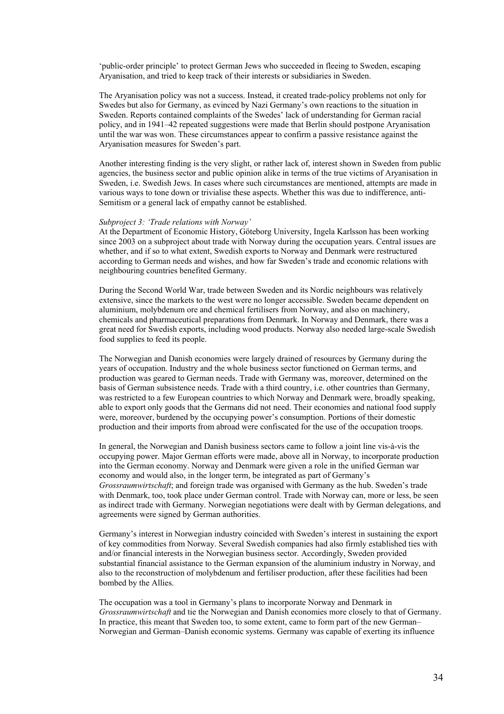'public-order principle' to protect German Jews who succeeded in fleeing to Sweden, escaping Aryanisation, and tried to keep track of their interests or subsidiaries in Sweden.

The Aryanisation policy was not a success. Instead, it created trade-policy problems not only for Swedes but also for Germany, as evinced by Nazi Germany's own reactions to the situation in Sweden. Reports contained complaints of the Swedes' lack of understanding for German racial policy, and in 1941–42 repeated suggestions were made that Berlin should postpone Aryanisation until the war was won. These circumstances appear to confirm a passive resistance against the Aryanisation measures for Sweden's part.

Another interesting finding is the very slight, or rather lack of, interest shown in Sweden from public agencies, the business sector and public opinion alike in terms of the true victims of Aryanisation in Sweden, i.e. Swedish Jews. In cases where such circumstances are mentioned, attempts are made in various ways to tone down or trivialise these aspects. Whether this was due to indifference, anti-Semitism or a general lack of empathy cannot be established.

#### *Subproject 3: 'Trade relations with Norway'*

At the Department of Economic History, Göteborg University, Ingela Karlsson has been working since 2003 on a subproject about trade with Norway during the occupation years. Central issues are whether, and if so to what extent, Swedish exports to Norway and Denmark were restructured according to German needs and wishes, and how far Sweden's trade and economic relations with neighbouring countries benefited Germany.

During the Second World War, trade between Sweden and its Nordic neighbours was relatively extensive, since the markets to the west were no longer accessible. Sweden became dependent on aluminium, molybdenum ore and chemical fertilisers from Norway, and also on machinery, chemicals and pharmaceutical preparations from Denmark. In Norway and Denmark, there was a great need for Swedish exports, including wood products. Norway also needed large-scale Swedish food supplies to feed its people.

The Norwegian and Danish economies were largely drained of resources by Germany during the years of occupation. Industry and the whole business sector functioned on German terms, and production was geared to German needs. Trade with Germany was, moreover, determined on the basis of German subsistence needs. Trade with a third country, i.e. other countries than Germany, was restricted to a few European countries to which Norway and Denmark were, broadly speaking, able to export only goods that the Germans did not need. Their economies and national food supply were, moreover, burdened by the occupying power's consumption. Portions of their domestic production and their imports from abroad were confiscated for the use of the occupation troops.

In general, the Norwegian and Danish business sectors came to follow a joint line vis-à-vis the occupying power. Major German efforts were made, above all in Norway, to incorporate production into the German economy. Norway and Denmark were given a role in the unified German war economy and would also, in the longer term, be integrated as part of Germany's *Grossraumwirtschaft*; and foreign trade was organised with Germany as the hub. Sweden's trade with Denmark, too, took place under German control. Trade with Norway can, more or less, be seen as indirect trade with Germany. Norwegian negotiations were dealt with by German delegations, and agreements were signed by German authorities.

Germany's interest in Norwegian industry coincided with Sweden's interest in sustaining the export of key commodities from Norway. Several Swedish companies had also firmly established ties with and/or financial interests in the Norwegian business sector. Accordingly, Sweden provided substantial financial assistance to the German expansion of the aluminium industry in Norway, and also to the reconstruction of molybdenum and fertiliser production, after these facilities had been bombed by the Allies.

The occupation was a tool in Germany's plans to incorporate Norway and Denmark in *Grossraumwirtschaft* and tie the Norwegian and Danish economies more closely to that of Germany. In practice, this meant that Sweden too, to some extent, came to form part of the new German– Norwegian and German–Danish economic systems. Germany was capable of exerting its influence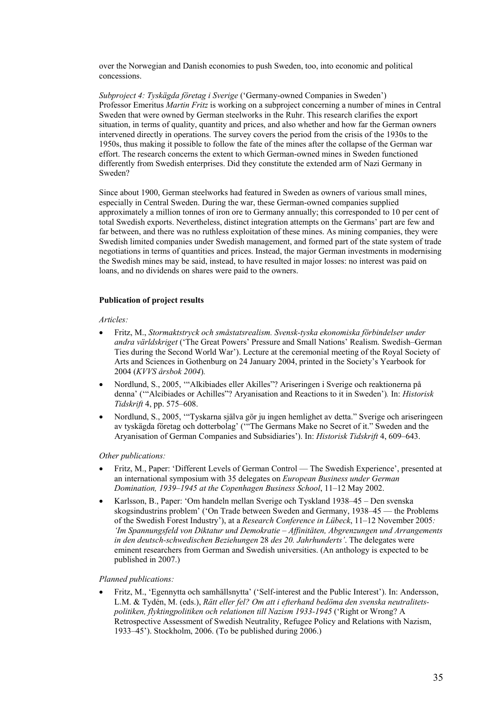over the Norwegian and Danish economies to push Sweden, too, into economic and political concessions.

*Subproject 4: Tyskägda företag i Sverige* ('Germany-owned Companies in Sweden') Professor Emeritus *Martin Fritz* is working on a subproject concerning a number of mines in Central Sweden that were owned by German steelworks in the Ruhr. This research clarifies the export situation, in terms of quality, quantity and prices, and also whether and how far the German owners intervened directly in operations. The survey covers the period from the crisis of the 1930s to the 1950s, thus making it possible to follow the fate of the mines after the collapse of the German war effort. The research concerns the extent to which German-owned mines in Sweden functioned differently from Swedish enterprises. Did they constitute the extended arm of Nazi Germany in Sweden?

Since about 1900, German steelworks had featured in Sweden as owners of various small mines, especially in Central Sweden. During the war, these German-owned companies supplied approximately a million tonnes of iron ore to Germany annually; this corresponded to 10 per cent of total Swedish exports. Nevertheless, distinct integration attempts on the Germans' part are few and far between, and there was no ruthless exploitation of these mines. As mining companies, they were Swedish limited companies under Swedish management, and formed part of the state system of trade negotiations in terms of quantities and prices. Instead, the major German investments in modernising the Swedish mines may be said, instead, to have resulted in major losses: no interest was paid on loans, and no dividends on shares were paid to the owners.

#### **Publication of project results**

#### *Articles:*

- Fritz, M., *Stormaktstryck och småstatsrealism. Svensk-tyska ekonomiska förbindelser under andra världskriget* ('The Great Powers' Pressure and Small Nations' Realism. Swedish–German Ties during the Second World War'). Lecture at the ceremonial meeting of the Royal Society of Arts and Sciences in Gothenburg on 24 January 2004, printed in the Society's Yearbook for 2004 (*KVVS årsbok 2004*)*.*
- Nordlund, S., 2005, '"Alkibiades eller Akilles"? Ariseringen i Sverige och reaktionerna på denna' ('"Alcibiades or Achilles"? Aryanisation and Reactions to it in Sweden')*.* In: *Historisk Tidskrift* 4, pp. 575–608.
- Nordlund, S., 2005, '"Tyskarna själva gör ju ingen hemlighet av detta." Sverige och ariseringeen av tyskägda företag och dotterbolag' ('"The Germans Make no Secret of it." Sweden and the Aryanisation of German Companies and Subsidiaries'). In: *Historisk Tidskrift* 4, 609–643.

#### *Other publications:*

- Fritz, M., Paper: 'Different Levels of German Control The Swedish Experience', presented at an international symposium with 35 delegates on *European Business under German Domination, 1939–1945 at the Copenhagen Business School*, 11–12 May 2002.
- Karlsson, B., Paper: 'Om handeln mellan Sverige och Tyskland 1938–45 Den svenska skogsindustrins problem' ('On Trade between Sweden and Germany, 1938–45 — the Problems of the Swedish Forest Industry'), at a *Research Conference in Lübeck*, 11–12 November 2005*: 'Im Spannungsfeld von Diktatur und Demokratie – Affinitäten, Abgrenzungen und Arrangements in den deutsch-schwedischen Beziehungen* 28 *des 20. Jahrhunderts'*. The delegates were eminent researchers from German and Swedish universities. (An anthology is expected to be published in 2007.)

#### *Planned publications:*

• Fritz, M., 'Egennytta och samhällsnytta' ('Self-interest and the Public Interest'). In: Andersson, L.M. & Tydén, M. (eds.), *Rätt eller fel? Om att i efterhand bedöma den svenska neutralitetspolitiken, flyktingpolitiken och relationen till Nazism 1933-1945* ('Right or Wrong? A Retrospective Assessment of Swedish Neutrality, Refugee Policy and Relations with Nazism, 1933–45'). Stockholm, 2006. (To be published during 2006.)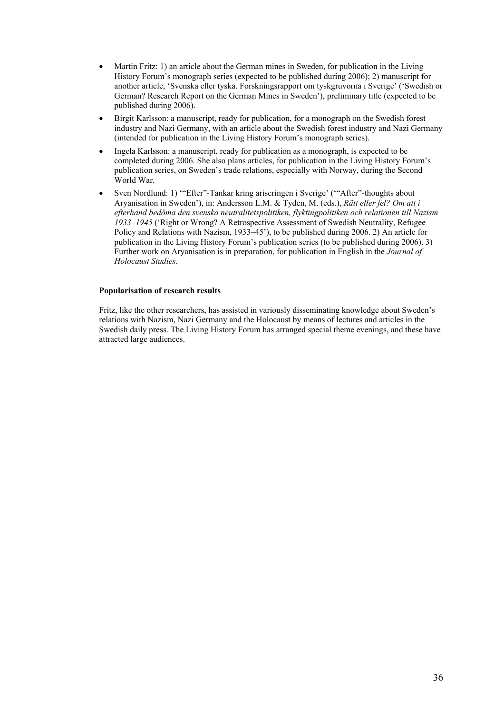- Martin Fritz: 1) an article about the German mines in Sweden, for publication in the Living History Forum's monograph series (expected to be published during 2006); 2) manuscript for another article, 'Svenska eller tyska. Forskningsrapport om tyskgruvorna i Sverige' ('Swedish or German? Research Report on the German Mines in Sweden'), preliminary title (expected to be published during 2006).
- Birgit Karlsson: a manuscript, ready for publication, for a monograph on the Swedish forest industry and Nazi Germany, with an article about the Swedish forest industry and Nazi Germany (intended for publication in the Living History Forum's monograph series).
- Ingela Karlsson: a manuscript, ready for publication as a monograph, is expected to be completed during 2006. She also plans articles, for publication in the Living History Forum's publication series, on Sweden's trade relations, especially with Norway, during the Second World War.
- Sven Nordlund: 1) '"Efter"-Tankar kring ariseringen i Sverige' ('"After"-thoughts about Aryanisation in Sweden'), in: Andersson L.M. & Tyden, M. (eds.), *Rätt eller fel? Om att i efterhand bedöma den svenska neutralitetspolitiken, flyktingpolitiken och relationen till Nazism 1933–1945* ('Right or Wrong? A Retrospective Assessment of Swedish Neutrality, Refugee Policy and Relations with Nazism, 1933–45'), to be published during 2006. 2) An article for publication in the Living History Forum's publication series (to be published during 2006). 3) Further work on Aryanisation is in preparation, for publication in English in the *Journal of Holocaust Studies*.

#### **Popularisation of research results**

Fritz, like the other researchers, has assisted in variously disseminating knowledge about Sweden's relations with Nazism, Nazi Germany and the Holocaust by means of lectures and articles in the Swedish daily press. The Living History Forum has arranged special theme evenings, and these have attracted large audiences.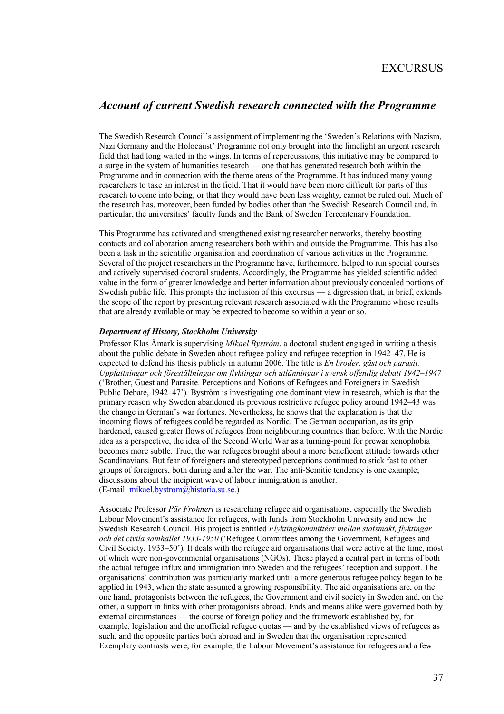### EXCURSUS

### *Account of current Swedish research connected with the Programme*

The Swedish Research Council's assignment of implementing the 'Sweden's Relations with Nazism, Nazi Germany and the Holocaust' Programme not only brought into the limelight an urgent research field that had long waited in the wings. In terms of repercussions, this initiative may be compared to a surge in the system of humanities research — one that has generated research both within the Programme and in connection with the theme areas of the Programme. It has induced many young researchers to take an interest in the field. That it would have been more difficult for parts of this research to come into being, or that they would have been less weighty, cannot be ruled out. Much of the research has, moreover, been funded by bodies other than the Swedish Research Council and, in particular, the universities' faculty funds and the Bank of Sweden Tercentenary Foundation.

This Programme has activated and strengthened existing researcher networks, thereby boosting contacts and collaboration among researchers both within and outside the Programme. This has also been a task in the scientific organisation and coordination of various activities in the Programme. Several of the project researchers in the Programme have, furthermore, helped to run special courses and actively supervised doctoral students. Accordingly, the Programme has yielded scientific added value in the form of greater knowledge and better information about previously concealed portions of Swedish public life. This prompts the inclusion of this excursus — a digression that, in brief, extends the scope of the report by presenting relevant research associated with the Programme whose results that are already available or may be expected to become so within a year or so.

#### *Department of History, Stockholm University*

Professor Klas Åmark is supervising *Mikael Byström*, a doctoral student engaged in writing a thesis about the public debate in Sweden about refugee policy and refugee reception in 1942–47. He is expected to defend his thesis publicly in autumn 2006. The title is *En broder, gäst och parasit. Uppfattningar och föreställningar om flyktingar och utlänningar i svensk offentlig debatt 1942–1947*  ('Brother, Guest and Parasite. Perceptions and Notions of Refugees and Foreigners in Swedish Public Debate, 1942–47')*.* Byström is investigating one dominant view in research, which is that the primary reason why Sweden abandoned its previous restrictive refugee policy around 1942–43 was the change in German's war fortunes. Nevertheless, he shows that the explanation is that the incoming flows of refugees could be regarded as Nordic. The German occupation, as its grip hardened, caused greater flows of refugees from neighbouring countries than before. With the Nordic idea as a perspective, the idea of the Second World War as a turning-point for prewar xenophobia becomes more subtle. True, the war refugees brought about a more beneficent attitude towards other Scandinavians. But fear of foreigners and stereotyped perceptions continued to stick fast to other groups of foreigners, both during and after the war. The anti-Semitic tendency is one example; discussions about the incipient wave of labour immigration is another. (E-mail: mikael.bystrom@historia.su.se.)

Associate Professor *Pär Frohnert* is researching refugee aid organisations, especially the Swedish Labour Movement's assistance for refugees, with funds from Stockholm University and now the Swedish Research Council. His project is entitled *Flyktingkommittéer mellan statsmakt, flyktingar och det civila samhället 1933-1950* ('Refugee Committees among the Government, Refugees and Civil Society, 1933–50')*.* It deals with the refugee aid organisations that were active at the time, most of which were non-governmental organisations (NGOs). These played a central part in terms of both the actual refugee influx and immigration into Sweden and the refugees' reception and support. The organisations' contribution was particularly marked until a more generous refugee policy began to be applied in 1943, when the state assumed a growing responsibility. The aid organisations are, on the one hand, protagonists between the refugees, the Government and civil society in Sweden and, on the other, a support in links with other protagonists abroad. Ends and means alike were governed both by external circumstances — the course of foreign policy and the framework established by, for example, legislation and the unofficial refugee quotas — and by the established views of refugees as such, and the opposite parties both abroad and in Sweden that the organisation represented. Exemplary contrasts were, for example, the Labour Movement's assistance for refugees and a few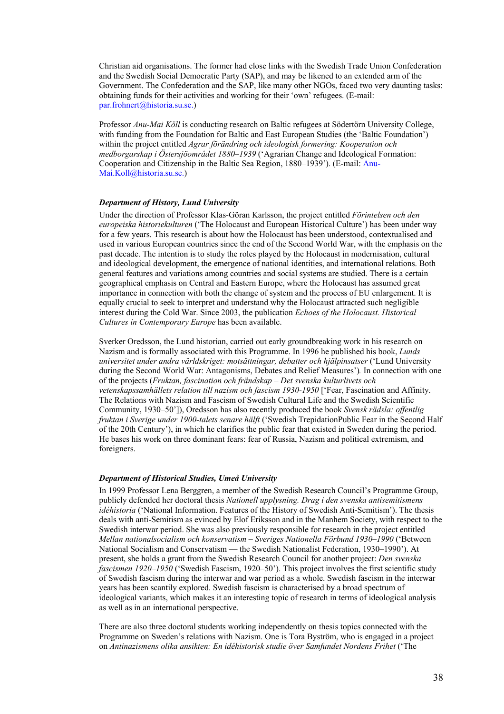Christian aid organisations. The former had close links with the Swedish Trade Union Confederation and the Swedish Social Democratic Party (SAP), and may be likened to an extended arm of the Government. The Confederation and the SAP, like many other NGOs, faced two very daunting tasks: obtaining funds for their activities and working for their 'own' refugees. (E-mail: par.frohnert@historia.su.se.)

Professor *Anu-Mai Köll* is conducting research on Baltic refugees at Södertörn University College, with funding from the Foundation for Baltic and East European Studies (the 'Baltic Foundation') within the project entitled *Agrar förändring och ideologisk formering: Kooperation och medborgarskap i Östersjöområdet 1880–1939* ('Agrarian Change and Ideological Formation: Cooperation and Citizenship in the Baltic Sea Region, 1880–1939'). (E-mail: Anu-Mai.Koll@historia.su.se.)

#### *Department of History, Lund University*

Under the direction of Professor Klas-Göran Karlsson, the project entitled *Förintelsen och den europeiska historiekulturen* ('The Holocaust and European Historical Culture') has been under way for a few years. This research is about how the Holocaust has been understood, contextualised and used in various European countries since the end of the Second World War, with the emphasis on the past decade. The intention is to study the roles played by the Holocaust in modernisation, cultural and ideological development, the emergence of national identities, and international relations. Both general features and variations among countries and social systems are studied. There is a certain geographical emphasis on Central and Eastern Europe, where the Holocaust has assumed great importance in connection with both the change of system and the process of EU enlargement. It is equally crucial to seek to interpret and understand why the Holocaust attracted such negligible interest during the Cold War. Since 2003, the publication *Echoes of the Holocaust. Historical Cultures in Contemporary Europe* has been available.

Sverker Oredsson, the Lund historian, carried out early groundbreaking work in his research on Nazism and is formally associated with this Programme. In 1996 he published his book, *Lunds universitet under andra världskriget: motsättningar, debatter och hjälpinsatser* ('Lund University during the Second World War: Antagonisms, Debates and Relief Measures')*.* In connection with one of the projects (*Fruktan, fascination och frändskap – Det svenska kulturlivets och vetenskapssamhällets relation till nazism och fascism 1930-1950* ['Fear, Fascination and Affinity. The Relations with Nazism and Fascism of Swedish Cultural Life and the Swedish Scientific Community, 1930–50']), Oredsson has also recently produced the book *Svensk rädsla: offentlig fruktan i Sverige under 1900-talets senare hälft* ('Swedish TrepidationPublic Fear in the Second Half of the 20th Century'), in which he clarifies the public fear that existed in Sweden during the period. He bases his work on three dominant fears: fear of Russia, Nazism and political extremism, and foreigners.

#### *Department of Historical Studies, Umeå University*

In 1999 Professor Lena Berggren, a member of the Swedish Research Council's Programme Group, publicly defended her doctoral thesis *Nationell upplysning. Drag i den svenska antisemitismens idéhistoria* ('National Information. Features of the History of Swedish Anti-Semitism'). The thesis deals with anti-Semitism as evinced by Elof Eriksson and in the Manhem Society, with respect to the Swedish interwar period. She was also previously responsible for research in the project entitled *Mellan nationalsocialism och konservatism – Sveriges Nationella Förbund 1930–1990* ('Between National Socialism and Conservatism — the Swedish Nationalist Federation, 1930–1990'). At present, she holds a grant from the Swedish Research Council for another project: *Den svenska fascismen 1920–1950* ('Swedish Fascism, 1920–50'). This project involves the first scientific study of Swedish fascism during the interwar and war period as a whole. Swedish fascism in the interwar years has been scantily explored. Swedish fascism is characterised by a broad spectrum of ideological variants, which makes it an interesting topic of research in terms of ideological analysis as well as in an international perspective.

There are also three doctoral students working independently on thesis topics connected with the Programme on Sweden's relations with Nazism. One is Tora Byström, who is engaged in a project on *Antinazismens olika ansikten: En idéhistorisk studie över Samfundet Nordens Frihet* ('The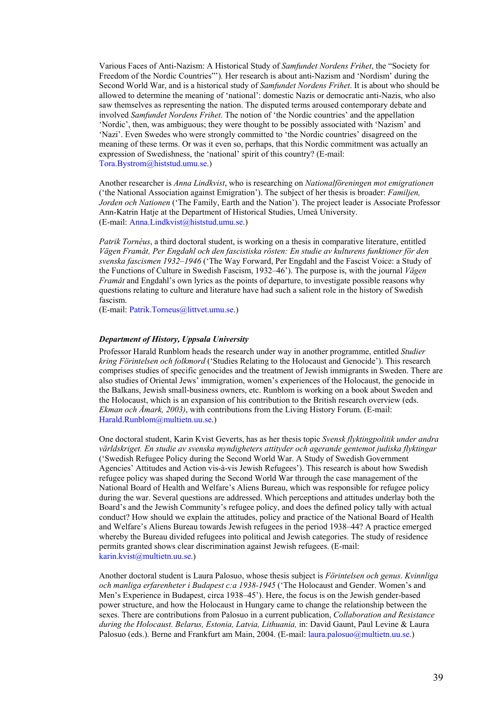Various Faces of Anti-Nazism: A Historical Study of *Samfundet Nordens Frihet*, the "Society for Freedom of the Nordic Countries"')*.* Her research is about anti-Nazism and 'Nordism' during the Second World War, and is a historical study of *Samfundet Nordens Frihet*. It is about who should be allowed to determine the meaning of 'national': domestic Nazis or democratic anti-Nazis, who also saw themselves as representing the nation. The disputed terms aroused contemporary debate and involved *Samfundet Nordens Frihet*. The notion of 'the Nordic countries' and the appellation 'Nordic', then, was ambiguous; they were thought to be possibly associated with 'Nazism' and 'Nazi'. Even Swedes who were strongly committed to 'the Nordic countries' disagreed on the meaning of these terms. Or was it even so, perhaps, that this Nordic commitment was actually an expression of Swedishness, the 'national' spirit of this country? (E-mail: Tora.Bystrom@histstud.umu.se.)

Another researcher is *Anna Lindkvist*, who is researching on *Nationalföreningen mot emigrationen* ('the National Association against Emigration'). The subject of her thesis is broader: *Familjen, Jorden och Nationen* ('The Family, Earth and the Nation'). The project leader is Associate Professor Ann-Katrin Hatje at the Department of Historical Studies, Umeå University. (E-mail: Anna.Lindkvist@histstud.umu.se.)

*Patrik Tornéus*, a third doctoral student, is working on a thesis in comparative literature, entitled *Vägen Framåt, Per Engdahl och den fascistiska rösten: En studie av kulturens funktioner för den svenska fascismen 1932–1946* ('The Way Forward, Per Engdahl and the Fascist Voice: a Study of the Functions of Culture in Swedish Fascism, 1932–46'). The purpose is, with the journal *Vägen Framåt* and Engdahl's own lyrics as the points of departure, to investigate possible reasons why questions relating to culture and literature have had such a salient role in the history of Swedish fascism.

(E-mail: Patrik.Torneus@littvet.umu.se.)

#### *Department of History, Uppsala University*

Professor Harald Runblom heads the research under way in another programme, entitled *Studier kring Förintelsen och folkmord* ('Studies Relating to the Holocaust and Genocide'). This research comprises studies of specific genocides and the treatment of Jewish immigrants in Sweden. There are also studies of Oriental Jews' immigration, women's experiences of the Holocaust, the genocide in the Balkans, Jewish small-business owners, etc. Runblom is working on a book about Sweden and the Holocaust, which is an expansion of his contribution to the British research overview (eds. *Ekman och Åmark, 2003)*, with contributions from the Living History Forum. (E-mail: Harald.Runblom@multietn.uu.se.)

One doctoral student, Karin Kvist Geverts, has as her thesis topic *Svensk flyktingpolitik under andra världskriget. En studie av svenska myndigheters attityder och agerande gentemot judiska flyktingar*  ('Swedish Refugee Policy during the Second World War. A Study of Swedish Government Agencies' Attitudes and Action vis-à-vis Jewish Refugees'). This research is about how Swedish refugee policy was shaped during the Second World War through the case management of the National Board of Health and Welfare's Aliens Bureau, which was responsible for refugee policy during the war. Several questions are addressed. Which perceptions and attitudes underlay both the Board's and the Jewish Community's refugee policy, and does the defined policy tally with actual conduct? How should we explain the attitudes, policy and practice of the National Board of Health and Welfare's Aliens Bureau towards Jewish refugees in the period 1938–44? A practice emerged whereby the Bureau divided refugees into political and Jewish categories. The study of residence permits granted shows clear discrimination against Jewish refugees. (E-mail: karin.kvist@multietn.uu.se.)

Another doctoral student is Laura Palosuo, whose thesis subject is *Förintelsen och genus. Kvinnliga och manliga erfarenheter i Budapest c:a 1938-1945* ('The Holocaust and Gender. Women's and Men's Experience in Budapest, circa 1938–45'). Here, the focus is on the Jewish gender-based power structure, and how the Holocaust in Hungary came to change the relationship between the sexes. There are contributions from Palosuo in a current publication, *Collaboration and Resistance during the Holocaust. Belarus, Estonia, Latvia, Lithuania,* in: David Gaunt, Paul Levine & Laura Palosuo (eds.). Berne and Frankfurt am Main, 2004. (E-mail: laura.palosuo@multietn.uu.se.)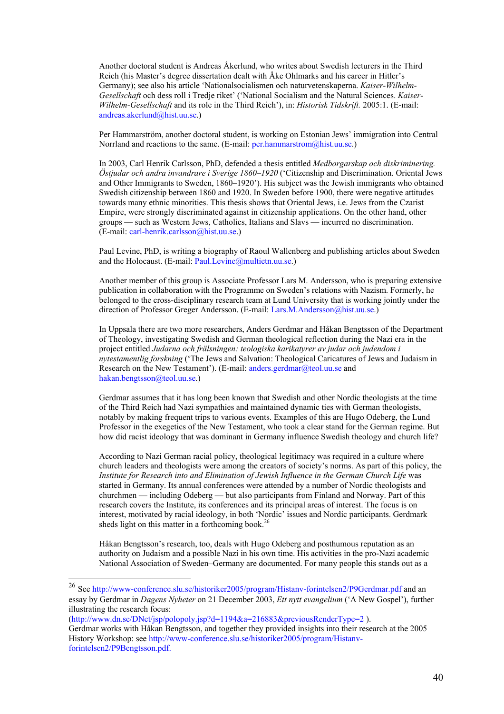Another doctoral student is Andreas Åkerlund, who writes about Swedish lecturers in the Third Reich (his Master's degree dissertation dealt with Åke Ohlmarks and his career in Hitler's Germany); see also his article 'Nationalsocialismen och naturvetenskaperna. *Kaiser-Wilhelm-Gesellschaft* och dess roll i Tredje riket' ('National Socialism and the Natural Sciences. *Kaiser-Wilhelm-Gesellschaft* and its role in the Third Reich'), in: *Historisk Tidskrift.* 2005:1. (E-mail: andreas.akerlund@hist.uu.se.)

Per Hammarström, another doctoral student, is working on Estonian Jews' immigration into Central Norrland and reactions to the same. (E-mail: per.hammarstrom@hist.uu.se.)

In 2003, Carl Henrik Carlsson, PhD, defended a thesis entitled *Medborgarskap och diskriminering. Östjudar och andra invandrare i Sverige 1860–1920* ('Citizenship and Discrimination. Oriental Jews and Other Immigrants to Sweden, 1860–1920'). His subject was the Jewish immigrants who obtained Swedish citizenship between 1860 and 1920. In Sweden before 1900, there were negative attitudes towards many ethnic minorities. This thesis shows that Oriental Jews, i.e. Jews from the Czarist Empire, were strongly discriminated against in citizenship applications. On the other hand, other groups — such as Western Jews, Catholics, Italians and Slavs — incurred no discrimination. (E-mail: carl-henrik.carlsson@hist.uu.se.)

Paul Levine, PhD, is writing a biography of Raoul Wallenberg and publishing articles about Sweden and the Holocaust. (E-mail: Paul.Levine@multietn.uu.se.)

Another member of this group is Associate Professor Lars M. Andersson, who is preparing extensive publication in collaboration with the Programme on Sweden's relations with Nazism. Formerly, he belonged to the cross-disciplinary research team at Lund University that is working jointly under the direction of Professor Greger Andersson. (E-mail: Lars.M.Andersson@hist.uu.se.)

In Uppsala there are two more researchers, Anders Gerdmar and Håkan Bengtsson of the Department of Theology, investigating Swedish and German theological reflection during the Nazi era in the project entitled *Judarna och frälsningen: teologiska karikatyrer av judar och judendom i nytestamentlig forskning* ('The Jews and Salvation: Theological Caricatures of Jews and Judaism in Research on the New Testament'). (E-mail: anders.gerdmar@teol.uu.se and hakan.bengtsson@teol.uu.se.)

Gerdmar assumes that it has long been known that Swedish and other Nordic theologists at the time of the Third Reich had Nazi sympathies and maintained dynamic ties with German theologists, notably by making frequent trips to various events. Examples of this are Hugo Odeberg, the Lund Professor in the exegetics of the New Testament, who took a clear stand for the German regime. But how did racist ideology that was dominant in Germany influence Swedish theology and church life?

According to Nazi German racial policy, theological legitimacy was required in a culture where church leaders and theologists were among the creators of society's norms. As part of this policy, the *Institute for Research into and Elimination of Jewish Influence in the German Church Life was* started in Germany. Its annual conferences were attended by a number of Nordic theologists and churchmen — including Odeberg — but also participants from Finland and Norway. Part of this research covers the Institute, its conferences and its principal areas of interest. The focus is on interest, motivated by racial ideology, in both 'Nordic' issues and Nordic participants. Gerdmark sheds light on this matter in a forthcoming book.<sup>26</sup>

Håkan Bengtsson's research, too, deals with Hugo Odeberg and posthumous reputation as an authority on Judaism and a possible Nazi in his own time. His activities in the pro-Nazi academic National Association of Sweden–Germany are documented. For many people this stands out as a

(http://www.dn.se/DNet/jsp/polopoly.jsp?d=1194&a=216883&previousRenderType=2 ).

<sup>&</sup>lt;sup>26</sup> See http://www-conference.slu.se/historiker2005/program/Histanv-forintelsen2/P9Gerdmar.pdf and an essay by Gerdmar in *Dagens Nyheter* on 21 December 2003, *Ett nytt evangelium* ('A New Gospel'), further illustrating the research focus:

Gerdmar works with Håkan Bengtsson, and together they provided insights into their research at the 2005 History Workshop: see http://www-conference.slu.se/historiker2005/program/Histanvforintelsen2/P9Bengtsson.pdf.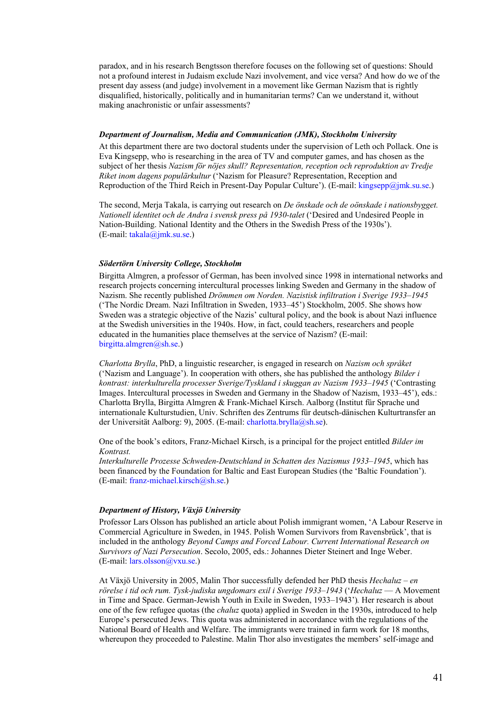paradox, and in his research Bengtsson therefore focuses on the following set of questions: Should not a profound interest in Judaism exclude Nazi involvement, and vice versa? And how do we of the present day assess (and judge) involvement in a movement like German Nazism that is rightly disqualified, historically, politically and in humanitarian terms? Can we understand it, without making anachronistic or unfair assessments?

#### *Department of Journalism, Media and Communication (JMK), Stockholm University*

At this department there are two doctoral students under the supervision of Leth och Pollack. One is Eva Kingsepp, who is researching in the area of TV and computer games, and has chosen as the subject of her thesis *Nazism för nöjes skull? Representation, reception och reproduktion av Tredje Riket inom dagens populärkultur* ('Nazism for Pleasure? Representation, Reception and Reproduction of the Third Reich in Present-Day Popular Culture'). (E-mail: kingsepp@jmk.su.se.)

The second, Merja Takala, is carrying out research on *De önskade och de oönskade i nationsbygget. Nationell identitet och de Andra i svensk press på 1930-talet* ('Desired and Undesired People in Nation-Building. National Identity and the Others in the Swedish Press of the 1930s'). (E-mail: takala@jmk.su.se.)

#### *Södertörn University College, Stockholm*

Birgitta Almgren, a professor of German, has been involved since 1998 in international networks and research projects concerning intercultural processes linking Sweden and Germany in the shadow of Nazism. She recently published *Drömmen om Norden. Nazistisk infiltration i Sverige 1933–1945*  ('The Nordic Dream. Nazi Infiltration in Sweden, 1933–45') Stockholm, 2005. She shows how Sweden was a strategic objective of the Nazis' cultural policy, and the book is about Nazi influence at the Swedish universities in the 1940s. How, in fact, could teachers, researchers and people educated in the humanities place themselves at the service of Nazism? (E-mail: birgitta.almgren@sh.se.)

*Charlotta Brylla*, PhD, a linguistic researcher, is engaged in research on *Nazism och språket*  ('Nazism and Language'). In cooperation with others, she has published the anthology *Bilder i kontrast: interkulturella processer Sverige/Tyskland i skuggan av Nazism 1933–1945* ('Contrasting Images. Intercultural processes in Sweden and Germany in the Shadow of Nazism, 1933–45'), eds.: Charlotta Brylla, Birgitta Almgren & Frank-Michael Kirsch. Aalborg (Institut für Sprache und internationale Kulturstudien, Univ. Schriften des Zentrums für deutsch-dänischen Kulturtransfer an der Universität Aalborg: 9), 2005. (E-mail: charlotta.brylla@sh.se).

One of the book's editors, Franz-Michael Kirsch, is a principal for the project entitled *Bilder im Kontrast.* 

*Interkulturelle Prozesse Schweden-Deutschland in Schatten des Nazismus 1933–1945*, which has been financed by the Foundation for Baltic and East European Studies (the 'Baltic Foundation'). (E-mail: franz-michael.kirsch@sh.se.)

#### *Department of History, Växjö University*

Professor Lars Olsson has published an article about Polish immigrant women, 'A Labour Reserve in Commercial Agriculture in Sweden, in 1945. Polish Women Survivors from Ravensbrück', that is included in the anthology *Beyond Camps and Forced Labour. Current International Research on Survivors of Nazi Persecution*. Secolo, 2005, eds.: Johannes Dieter Steinert and Inge Weber. (E-mail: lars.olsson@vxu.se.)

At Växjö University in 2005, Malin Thor successfully defended her PhD thesis *Hechaluz – en rörelse i tid och rum. Tysk-judiska ungdomars exil i Sverige 1933–1943* ('*Hechaluz* — A Movement in Time and Space. German-Jewish Youth in Exile in Sweden, 1933–1943')*.* Her research is about one of the few refugee quotas (the *chaluz* quota) applied in Sweden in the 1930s, introduced to help Europe's persecuted Jews. This quota was administered in accordance with the regulations of the National Board of Health and Welfare. The immigrants were trained in farm work for 18 months, whereupon they proceeded to Palestine. Malin Thor also investigates the members' self-image and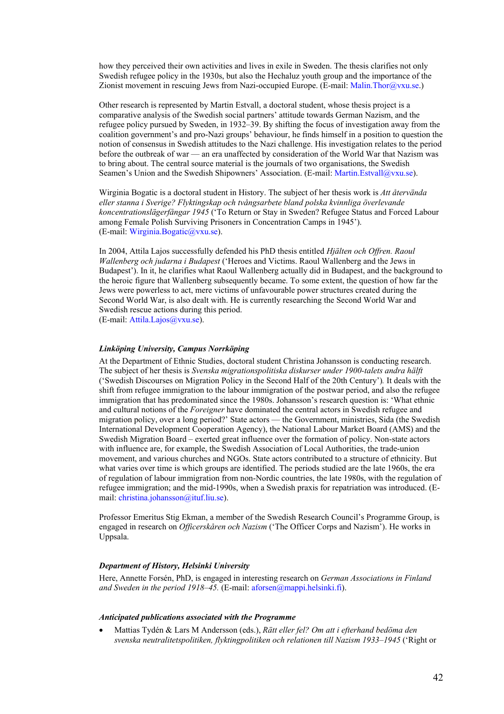how they perceived their own activities and lives in exile in Sweden. The thesis clarifies not only Swedish refugee policy in the 1930s, but also the Hechaluz youth group and the importance of the Zionist movement in rescuing Jews from Nazi-occupied Europe. (E-mail: Malin.Thor@vxu.se.)

Other research is represented by Martin Estvall, a doctoral student, whose thesis project is a comparative analysis of the Swedish social partners' attitude towards German Nazism, and the refugee policy pursued by Sweden, in 1932–39. By shifting the focus of investigation away from the coalition government's and pro-Nazi groups' behaviour, he finds himself in a position to question the notion of consensus in Swedish attitudes to the Nazi challenge. His investigation relates to the period before the outbreak of war — an era unaffected by consideration of the World War that Nazism was to bring about. The central source material is the journals of two organisations, the Swedish Seamen's Union and the Swedish Shipowners' Association. (E-mail: Martin.Estvall@vxu.se).

Wirginia Bogatic is a doctoral student in History. The subject of her thesis work is *Att återvända eller stanna i Sverige? Flyktingskap och tvångsarbete bland polska kvinnliga överlevande koncentrationslägerfångar 1945* ('To Return or Stay in Sweden? Refugee Status and Forced Labour among Female Polish Surviving Prisoners in Concentration Camps in 1945'). (E-mail: Wirginia.Bogatic@vxu.se).

In 2004, Attila Lajos successfully defended his PhD thesis entitled *Hjälten och Offren. Raoul Wallenberg och judarna i Budapest* ('Heroes and Victims. Raoul Wallenberg and the Jews in Budapest'). In it, he clarifies what Raoul Wallenberg actually did in Budapest, and the background to the heroic figure that Wallenberg subsequently became. To some extent, the question of how far the Jews were powerless to act, mere victims of unfavourable power structures created during the Second World War, is also dealt with. He is currently researching the Second World War and Swedish rescue actions during this period. (E-mail: Attila.Lajos@vxu.se).

#### *Linköping University, Campus Norrköping*

At the Department of Ethnic Studies, doctoral student Christina Johansson is conducting research. The subject of her thesis is *Svenska migrationspolitiska diskurser under 1900-talets andra hälft*  ('Swedish Discourses on Migration Policy in the Second Half of the 20th Century')*.* It deals with the shift from refugee immigration to the labour immigration of the postwar period, and also the refugee immigration that has predominated since the 1980s. Johansson's research question is: 'What ethnic and cultural notions of the *Foreigner* have dominated the central actors in Swedish refugee and migration policy, over a long period?' State actors — the Government, ministries, Sida (the Swedish International Development Cooperation Agency), the National Labour Market Board (AMS) and the Swedish Migration Board – exerted great influence over the formation of policy. Non-state actors with influence are, for example, the Swedish Association of Local Authorities, the trade-union movement, and various churches and NGOs. State actors contributed to a structure of ethnicity. But what varies over time is which groups are identified. The periods studied are the late 1960s, the era of regulation of labour immigration from non-Nordic countries, the late 1980s, with the regulation of refugee immigration; and the mid-1990s, when a Swedish praxis for repatriation was introduced. (Email: christina.johansson@ituf.liu.se).

Professor Emeritus Stig Ekman, a member of the Swedish Research Council's Programme Group, is engaged in research on *Officerskåren och Nazism* ('The Officer Corps and Nazism'). He works in Uppsala.

#### *Department of History, Helsinki University*

Here, Annette Forsén, PhD, is engaged in interesting research on *German Associations in Finland and Sweden in the period 1918–45.* (E-mail: aforsen@mappi.helsinki.fi).

#### *Anticipated publications associated with the Programme*

• Mattias Tydén & Lars M Andersson (eds.), *Rätt eller fel? Om att i efterhand bedöma den svenska neutralitetspolitiken, flyktingpolitiken och relationen till Nazism 1933–1945* ('Right or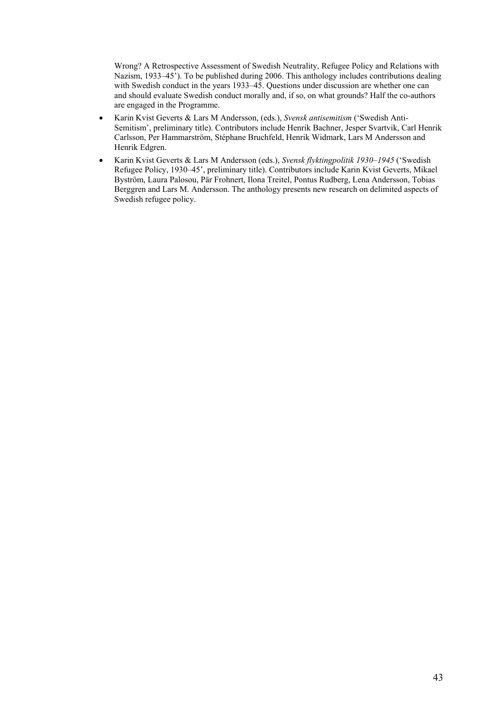Wrong? A Retrospective Assessment of Swedish Neutrality, Refugee Policy and Relations with Nazism, 1933–45<sup>3</sup>). To be published during 2006. This anthology includes contributions dealing with Swedish conduct in the years 1933–45. Questions under discussion are whether one can and should evaluate Swedish conduct morally and, if so, on what grounds? Half the co-authors are engaged in the Programme.

- Karin Kvist Geverts & Lars M Andersson, (eds.), *Svensk antisemitism* ('Swedish Anti-Semitism', preliminary title). Contributors include Henrik Bachner, Jesper Svartvik, Carl Henrik Carlsson, Per Hammarström, Stéphane Bruchfeld, Henrik Widmark, Lars M Andersson and Henrik Edgren.
- Karin Kvist Geverts & Lars M Andersson (eds.), *Svensk flyktingpolitik 1930–1945* ('Swedish Refugee Policy, 1930–45', preliminary title). Contributors include Karin Kvist Geverts, Mikael Byström, Laura Palosou, Pär Frohnert, Ilona Treitel, Pontus Rudberg, Lena Andersson, Tobias Berggren and Lars M. Andersson. The anthology presents new research on delimited aspects of Swedish refugee policy.